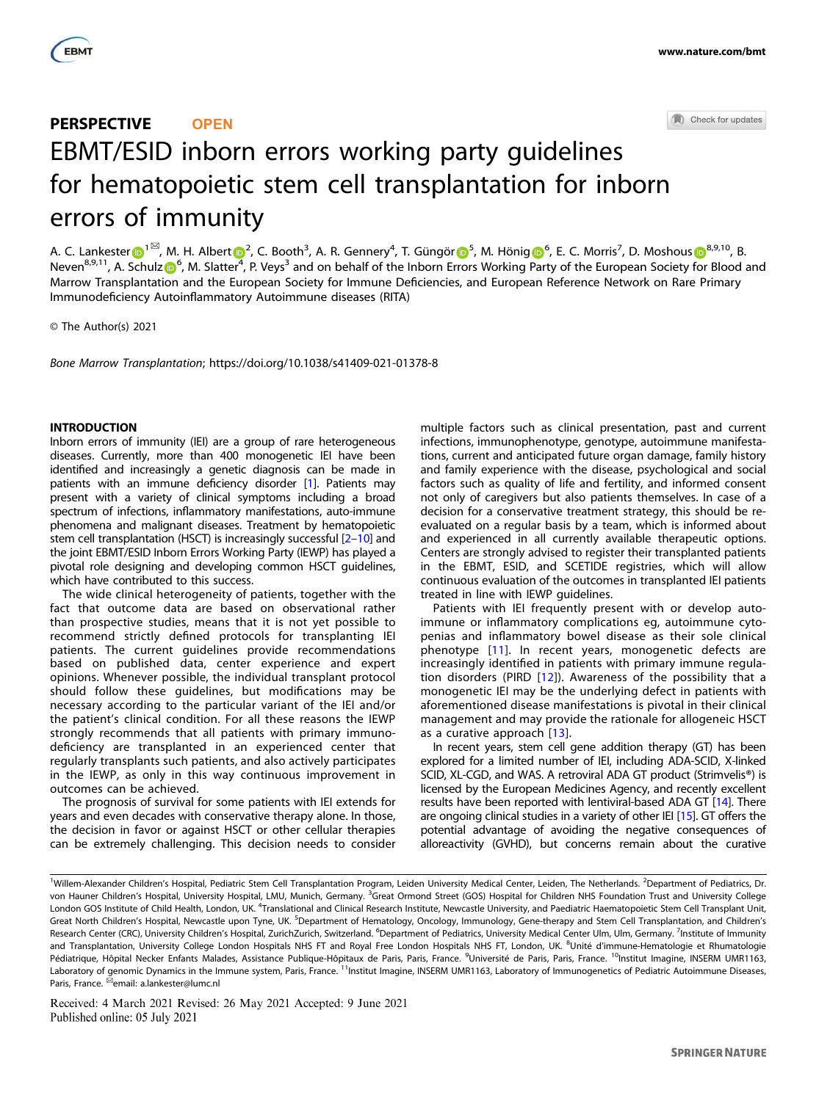

# Check for updates PERSPECTIVE **OPEN** EBMT/ESID inborn errors working party guidelines for hematopoietic stem cell transplantation for inborn errors of immunity

A. C. Lankester D<sup>[1](http://orcid.org/0000-0002-6703-2993)⊠</sup>, M. H. Alber[t](http://orcid.org/0000-0001-9143-3263) D<sup>[2](http://orcid.org/0000-0001-9143-3263)</sup>, C. Booth<sup>3</sup>, A. R. Gennery<sup>4</sup>, T. Güngör D<sup>[5](http://orcid.org/0000-0002-3261-1186)</sup>, M. Hönig D<sup>[6](http://orcid.org/0000-0001-9165-1690)</[s](http://orcid.org/0000-0001-6719-3693)up>, E. C. Morris<sup>7</sup>, D. Moshous D<sup>[8](http://orcid.org/0000-0001-6719-3693),9,10</sup>, B. Neven<sup>8,9,11</sup>, A. Schulz **D**<sup>[6](http://orcid.org/0000-0002-7798-7996)</sup>, M. Slatter<sup>[4](http://orcid.org/0000-0001-9143-3263)</sup>, P. Veys<sup>3</sup> and on behalf of the Inborn Errors Working Party of the European Society for Blood and Marrow Transplantation and the European Society for Immune Deficiencies, and European Reference Network on Rare Primary Immunodeficiency Autoinflammatory Autoimmune diseases (RITA)

© The Author(s) 2021

Bone Marrow Transplantation; https://doi.org/10.1038/s41409-021-01378-8

# INTRODUCTION

Inborn errors of immunity (IEI) are a group of rare heterogeneous diseases. Currently, more than 400 monogenetic IEI have been identified and increasingly a genetic diagnosis can be made in patients with an immune deficiency disorder [\[1\]](#page-7-0). Patients may present with a variety of clinical symptoms including a broad spectrum of infections, inflammatory manifestations, auto-immune phenomena and malignant diseases. Treatment by hematopoietic stem cell transplantation (HSCT) is increasingly successful [[2](#page-7-0)–[10](#page-8-0)] and the joint EBMT/ESID Inborn Errors Working Party (IEWP) has played a pivotal role designing and developing common HSCT guidelines, which have contributed to this success.

The wide clinical heterogeneity of patients, together with the fact that outcome data are based on observational rather than prospective studies, means that it is not yet possible to recommend strictly defined protocols for transplanting IEI patients. The current guidelines provide recommendations based on published data, center experience and expert opinions. Whenever possible, the individual transplant protocol should follow these guidelines, but modifications may be necessary according to the particular variant of the IEI and/or the patient's clinical condition. For all these reasons the IEWP strongly recommends that all patients with primary immunodeficiency are transplanted in an experienced center that regularly transplants such patients, and also actively participates in the IEWP, as only in this way continuous improvement in outcomes can be achieved.

The prognosis of survival for some patients with IEI extends for years and even decades with conservative therapy alone. In those, the decision in favor or against HSCT or other cellular therapies can be extremely challenging. This decision needs to consider multiple factors such as clinical presentation, past and current infections, immunophenotype, genotype, autoimmune manifestations, current and anticipated future organ damage, family history and family experience with the disease, psychological and social factors such as quality of life and fertility, and informed consent not only of caregivers but also patients themselves. In case of a decision for a conservative treatment strategy, this should be reevaluated on a regular basis by a team, which is informed about and experienced in all currently available therapeutic options. Centers are strongly advised to register their transplanted patients in the EBMT, ESID, and SCETIDE registries, which will allow continuous evaluation of the outcomes in transplanted IEI patients treated in line with IEWP guidelines.

Patients with IEI frequently present with or develop autoimmune or inflammatory complications eg, autoimmune cytopenias and inflammatory bowel disease as their sole clinical phenotype [[11](#page-8-0)]. In recent years, monogenetic defects are increasingly identified in patients with primary immune regulation disorders (PIRD  $[12]$ ). Awareness of the possibility that a monogenetic IEI may be the underlying defect in patients with aforementioned disease manifestations is pivotal in their clinical management and may provide the rationale for allogeneic HSCT as a curative approach [\[13\]](#page-8-0).

In recent years, stem cell gene addition therapy (GT) has been explored for a limited number of IEI, including ADA-SCID, X-linked SCID, XL-CGD, and WAS. A retroviral ADA GT product (Strimvelis®) is licensed by the European Medicines Agency, and recently excellent results have been reported with lentiviral-based ADA GT [[14\]](#page-8-0). There are ongoing clinical studies in a variety of other IEI [\[15](#page-8-0)]. GT offers the potential advantage of avoiding the negative consequences of alloreactivity (GVHD), but concerns remain about the curative

Received: 4 March 2021 Revised: 26 May 2021 Accepted: 9 June 2021 Published online: 05 July 2021

<sup>&</sup>lt;sup>1</sup>Willem-Alexander Children's Hospital, Pediatric Stem Cell Transplantation Program, Leiden University Medical Center, Leiden, The Netherlands. <sup>2</sup>Department of Pediatrics, Dr. von Hauner Children's Hospital, University Hospital, LMU, Munich, Germany. <sup>3</sup>Great Ormond Street (GOS) Hospital for Children NHS Foundation Trust and University College London GOS Institute of Child Health, London, UK. <sup>4</sup>Translational and Clinical Research Institute, Newcastle University, and Paediatric Haematopoietic Stem Cell Transplant Unit, Great North Children's Hospital, Newcastle upon Tyne, UK. <sup>5</sup>Department of Hematology, Oncology, Immunology, Gene-therapy and Stem Cell Transplantation, and Children's Research Center (CRC), University Children's Hospital, ZurichZurich, Switzerland. <sup>6</sup>Department of Pediatrics, University Medical Center Ulm, Ulm, Germany. <sup>7</sup>Institute of Immunity and Transplantation, University College London Hospitals NHS FT and Royal Free London Hospitals NHS FT, London, UK. <sup>8</sup>Unité d'immune-Hematologie et Rhumatologie Pédiatrique, Hôpital Necker Enfants Malades, Assistance Publique-Hôpitaux de Paris, Paris, France. <sup>9</sup>Université de Paris, Paris, France. <sup>10</sup>Institut Imagine, INSERM UMR1163, Laboratory of genomic Dynamics in the Immune system, Paris, France. <sup>11</sup>Institut Imagine, INSERM UMR1163, Laboratory of Immunogenetics of Pediatric Autoimmune Diseases, Paris, France. <sup>⊠</sup>email: [a.lankester@lumc.nl](mailto:a.lankester@lumc.nl)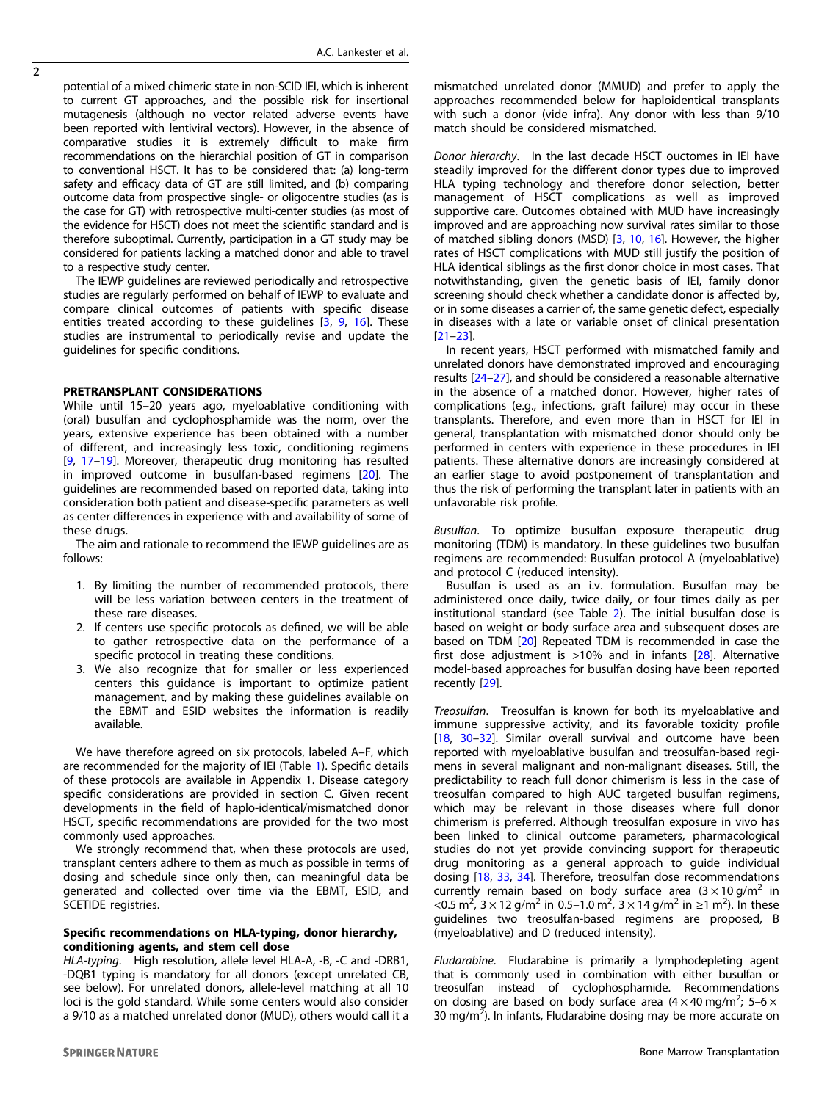potential of a mixed chimeric state in non-SCID IEI, which is inherent to current GT approaches, and the possible risk for insertional mutagenesis (although no vector related adverse events have been reported with lentiviral vectors). However, in the absence of comparative studies it is extremely difficult to make firm recommendations on the hierarchial position of GT in comparison to conventional HSCT. It has to be considered that: (a) long-term safety and efficacy data of GT are still limited, and (b) comparing outcome data from prospective single- or oligocentre studies (as is the case for GT) with retrospective multi-center studies (as most of the evidence for HSCT) does not meet the scientific standard and is therefore suboptimal. Currently, participation in a GT study may be considered for patients lacking a matched donor and able to travel to a respective study center.

The IEWP guidelines are reviewed periodically and retrospective studies are regularly performed on behalf of IEWP to evaluate and compare clinical outcomes of patients with specific disease entities treated according to these quidelines [\[3,](#page-7-0) [9,](#page-8-0) [16\]](#page-8-0). These studies are instrumental to periodically revise and update the guidelines for specific conditions.

# PRETRANSPLANT CONSIDERATIONS

While until 15–20 years ago, myeloablative conditioning with (oral) busulfan and cyclophosphamide was the norm, over the years, extensive experience has been obtained with a number of different, and increasingly less toxic, conditioning regimens [[9](#page-8-0), [17](#page-8-0)–[19](#page-8-0)]. Moreover, therapeutic drug monitoring has resulted in improved outcome in busulfan-based regimens [\[20](#page-8-0)]. The guidelines are recommended based on reported data, taking into consideration both patient and disease-specific parameters as well as center differences in experience with and availability of some of these drugs.

The aim and rationale to recommend the IEWP guidelines are as follows:

- 1. By limiting the number of recommended protocols, there will be less variation between centers in the treatment of these rare diseases.
- 2. If centers use specific protocols as defined, we will be able to gather retrospective data on the performance of a specific protocol in treating these conditions.
- 3. We also recognize that for smaller or less experienced centers this guidance is important to optimize patient management, and by making these guidelines available on the EBMT and ESID websites the information is readily available.

We have therefore agreed on six protocols, labeled A–F, which are recommended for the majority of IEI (Table [1\)](#page-2-0). Specific details of these protocols are available in Appendix 1. Disease category specific considerations are provided in section C. Given recent developments in the field of haplo-identical/mismatched donor HSCT, specific recommendations are provided for the two most commonly used approaches.

We strongly recommend that, when these protocols are used, transplant centers adhere to them as much as possible in terms of dosing and schedule since only then, can meaningful data be generated and collected over time via the EBMT, ESID, and SCETIDE registries.

# Specific recommendations on HLA-typing, donor hierarchy, conditioning agents, and stem cell dose

HLA-typing. High resolution, allele level HLA-A, -B, -C and -DRB1, -DQB1 typing is mandatory for all donors (except unrelated CB, see below). For unrelated donors, allele-level matching at all 10 loci is the gold standard. While some centers would also consider a 9/10 as a matched unrelated donor (MUD), others would call it a

mismatched unrelated donor (MMUD) and prefer to apply the approaches recommended below for haploidentical transplants with such a donor (vide infra). Any donor with less than 9/10 match should be considered mismatched.

Donor hierarchy. In the last decade HSCT ouctomes in IEI have steadily improved for the different donor types due to improved HLA typing technology and therefore donor selection, better management of HSCT complications as well as improved supportive care. Outcomes obtained with MUD have increasingly improved and are approaching now survival rates similar to those of matched sibling donors (MSD) [\[3,](#page-7-0) [10,](#page-8-0) [16\]](#page-8-0). However, the higher rates of HSCT complications with MUD still justify the position of HLA identical siblings as the first donor choice in most cases. That notwithstanding, given the genetic basis of IEI, family donor screening should check whether a candidate donor is affected by, or in some diseases a carrier of, the same genetic defect, especially in diseases with a late or variable onset of clinical presentation [[21](#page-8-0)–[23\]](#page-8-0).

In recent years, HSCT performed with mismatched family and unrelated donors have demonstrated improved and encouraging results [\[24](#page-8-0)–[27](#page-8-0)], and should be considered a reasonable alternative in the absence of a matched donor. However, higher rates of complications (e.g., infections, graft failure) may occur in these transplants. Therefore, and even more than in HSCT for IEI in general, transplantation with mismatched donor should only be performed in centers with experience in these procedures in IEI patients. These alternative donors are increasingly considered at an earlier stage to avoid postponement of transplantation and thus the risk of performing the transplant later in patients with an unfavorable risk profile.

Busulfan. To optimize busulfan exposure therapeutic drug monitoring (TDM) is mandatory. In these guidelines two busulfan regimens are recommended: Busulfan protocol A (myeloablative) and protocol C (reduced intensity).

Busulfan is used as an i.v. formulation. Busulfan may be administered once daily, twice daily, or four times daily as per institutional standard (see Table [2\)](#page-2-0). The initial busulfan dose is based on weight or body surface area and subsequent doses are based on TDM [[20](#page-8-0)] Repeated TDM is recommended in case the first dose adjustment is  $>10\%$  and in infants [\[28\]](#page-8-0). Alternative model-based approaches for busulfan dosing have been reported recently [[29\]](#page-8-0).

Treosulfan. Treosulfan is known for both its myeloablative and immune suppressive activity, and its favorable toxicity profile [[18,](#page-8-0) [30](#page-8-0)–[32](#page-8-0)]. Similar overall survival and outcome have been reported with myeloablative busulfan and treosulfan-based regimens in several malignant and non-malignant diseases. Still, the predictability to reach full donor chimerism is less in the case of treosulfan compared to high AUC targeted busulfan regimens, which may be relevant in those diseases where full donor chimerism is preferred. Although treosulfan exposure in vivo has been linked to clinical outcome parameters, pharmacological studies do not yet provide convincing support for therapeutic drug monitoring as a general approach to guide individual dosing [[18,](#page-8-0) [33](#page-8-0), [34](#page-8-0)]. Therefore, treosulfan dose recommendations currently remain based on body surface area  $(3 \times 10 \text{ g/m}^2)$  in <0.5 m<sup>2</sup>, 3 × 12 g/m<sup>2</sup> in 0.5–1.0 m<sup>2</sup>, 3 × 14 g/m<sup>2</sup> in ≥1 m<sup>2</sup>). In these guidelines two treosulfan-based regimens are proposed, B (myeloablative) and D (reduced intensity).

Fludarabine. Fludarabine is primarily a lymphodepleting agent that is commonly used in combination with either busulfan or treosulfan instead of cyclophosphamide. Recommendations on dosing are based on body surface area  $(4 \times 40 \text{ mg/m}^2)$ ; 5–6  $\times$ 30 mg/m<sup>2</sup>). In infants, Fludarabine dosing may be more accurate on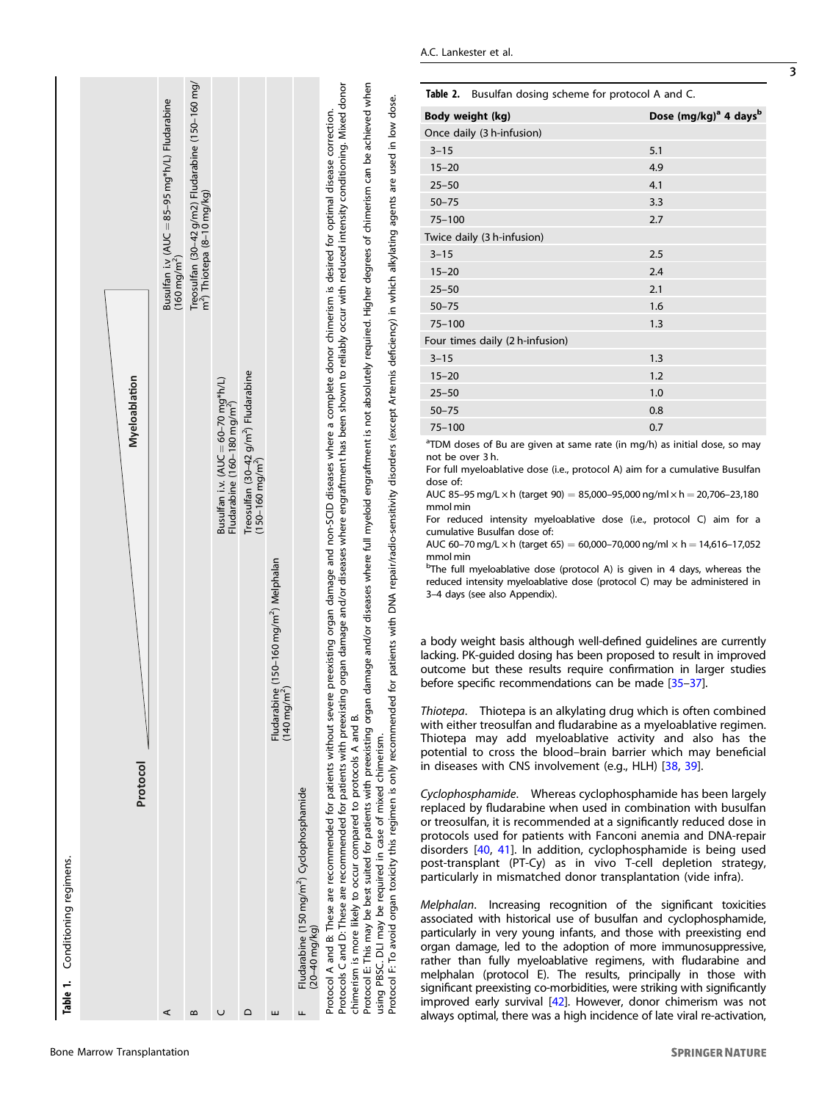<span id="page-2-0"></span>

Protocol E: This may be best suited for patients with preexisting organ damage and/or diseases where full myeloid engraftment is not absolutely required. Higher degrees of chimerism can be achieved when<br>using PBSC. DLI may Protocol E: This may be best suited for patients with preexisting organ damage and/or diseases where full myeloid engraftment is not absolutely required. Higher degrees of chimerism can be achieved when Protocol F: To avoid organ toxicity this regimen is only recommended for patients with DNA repair/radio-sensitivity disorders (except Artemis deficiency) in which alkylating agents are used in low dose. chimerism is more likely to occur compared to protocols A and B. chimerism is more likely to occur compared to protocols A and B. using PBSC. DLI may be required in case of mixed chimerism.

Table 2. Busulfan dosing scheme for protocol A and C.

| Body weight (kg)                | Dose (mg/kg) <sup>a</sup> 4 days <sup>b</sup> |
|---------------------------------|-----------------------------------------------|
| Once daily (3 h-infusion)       |                                               |
| $3 - 15$                        | 5.1                                           |
| $15 - 20$                       | 4.9                                           |
| $25 - 50$                       | 4.1                                           |
| $50 - 75$                       | 3.3                                           |
| $75 - 100$                      | 2.7                                           |
| Twice daily (3 h-infusion)      |                                               |
| $3 - 15$                        | 2.5                                           |
| $15 - 20$                       | 2.4                                           |
| $25 - 50$                       | 2.1                                           |
| $50 - 75$                       | 1.6                                           |
| $75 - 100$                      | 1.3                                           |
| Four times daily (2 h-infusion) |                                               |
| $3 - 15$                        | 1.3                                           |
| $15 - 20$                       | 1.2                                           |
| $25 - 50$                       | 1.0                                           |
| $50 - 75$                       | 0.8                                           |
| $75 - 100$                      | 0.7                                           |
|                                 |                                               |

<sup>a</sup>TDM doses of Bu are given at same rate (in mg/h) as initial dose, so may not be over 3 h.

For full myeloablative dose (i.e., protocol A) aim for a cumulative Busulfan dose of:

AUC 85-95 mg/L  $\times$  h (target 90) = 85,000-95,000 ng/ml  $\times$  h = 20,706-23,180 mmol min

For reduced intensity myeloablative dose (i.e., protocol C) aim for a cumulative Busulfan dose of:

AUC 60–70 mg/L  $\times$  h (target 65) = 60,000–70,000 ng/ml  $\times$  h = 14,616–17,052 mmol min

<sup>b</sup>The full myeloablative dose (protocol A) is given in 4 days, whereas the reduced intensity myeloablative dose (protocol C) may be administered in 3–4 days (see also Appendix).

a body weight basis although well-defined guidelines are currently lacking. PK-guided dosing has been proposed to result in improved outcome but these results require confirmation in larger studies before specific recommendations can be made [[35](#page-8-0)–[37\]](#page-8-0).

Thiotepa. Thiotepa is an alkylating drug which is often combined with either treosulfan and fludarabine as a myeloablative regimen. Thiotepa may add myeloablative activity and also has the potential to cross the blood–brain barrier which may beneficial in diseases with CNS involvement (e.g., HLH) [[38,](#page-8-0) [39\]](#page-8-0).

Cyclophosphamide. Whereas cyclophosphamide has been largely replaced by fludarabine when used in combination with busulfan or treosulfan, it is recommended at a significantly reduced dose in protocols used for patients with Fanconi anemia and DNA-repair disorders [[40,](#page-8-0) [41\]](#page-8-0). In addition, cyclophosphamide is being used post-transplant (PT-Cy) as in vivo T-cell depletion strategy, particularly in mismatched donor transplantation (vide infra).

Melphalan. Increasing recognition of the significant toxicities associated with historical use of busulfan and cyclophosphamide, particularly in very young infants, and those with preexisting end organ damage, led to the adoption of more immunosuppressive, rather than fully myeloablative regimens, with fludarabine and melphalan (protocol E). The results, principally in those with significant preexisting co-morbidities, were striking with significantly improved early survival [\[42](#page-8-0)]. However, donor chimerism was not always optimal, there was a high incidence of late viral re-activation,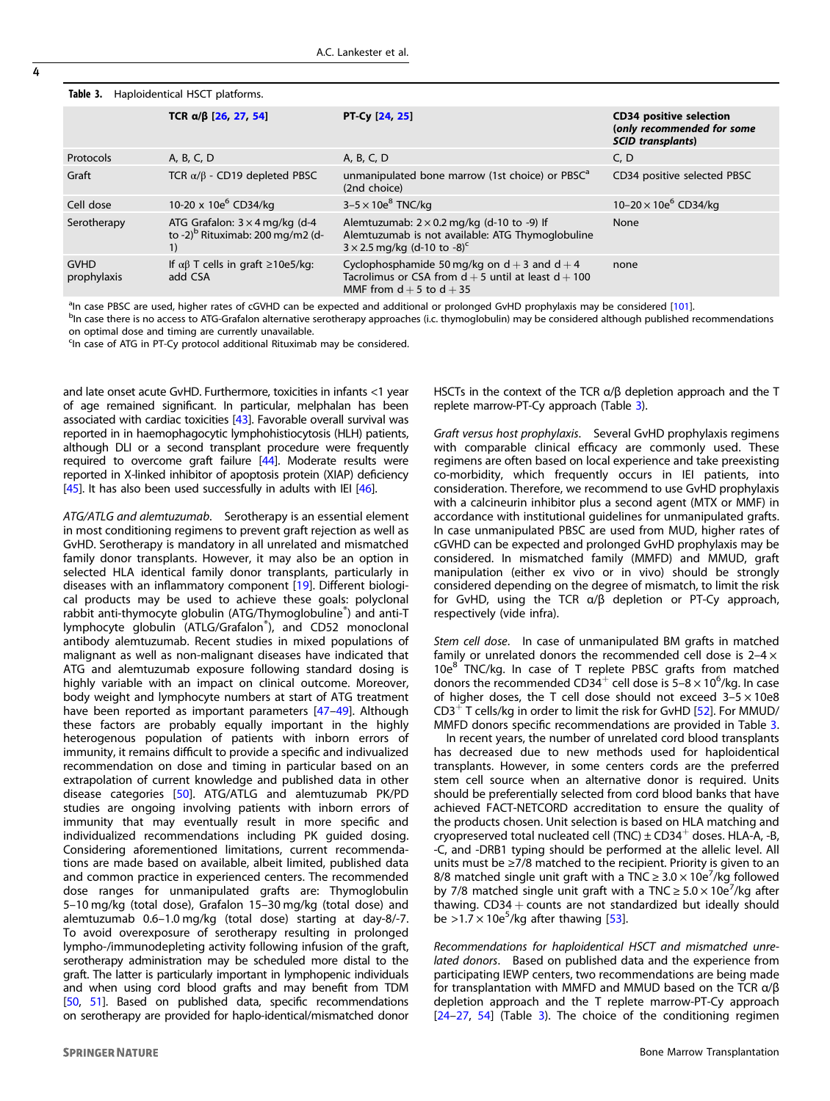| TCR $\alpha/\beta$ [26, 27, 54]                                                             | PT-Cy [24, 25]                                                                                                                                          | <b>CD34 positive selection</b><br>(only recommended for some<br><b>SCID</b> transplants) |
|---------------------------------------------------------------------------------------------|---------------------------------------------------------------------------------------------------------------------------------------------------------|------------------------------------------------------------------------------------------|
| A, B, C, D                                                                                  | A, B, C, D                                                                                                                                              | C, D                                                                                     |
| TCR $\alpha/\beta$ - CD19 depleted PBSC                                                     | unmanipulated bone marrow (1st choice) or PBSC <sup>a</sup><br>(2nd choice)                                                                             | CD34 positive selected PBSC                                                              |
| 10-20 x 10e <sup>6</sup> CD34/kg                                                            | $3-5 \times 10e^8$ TNC/kg                                                                                                                               | 10-20 $\times$ 10e <sup>6</sup> CD34/kg                                                  |
| ATG Grafalon: $3 \times 4$ mg/kg (d-4<br>to -2) <sup>b</sup> Rituximab: 200 mg/m2 (d-<br>1) | Alemtuzumab: $2 \times 0.2$ mg/kg (d-10 to -9) If<br>Alemtuzumab is not available: ATG Thymoglobuline<br>$3 \times 2.5$ mg/kg (d-10 to -8) <sup>c</sup> | None                                                                                     |
| If $\alpha\beta$ T cells in graft $\geq$ 10e5/kg:<br>add CSA                                | Cyclophosphamide 50 mg/kg on $d + 3$ and $d + 4$<br>Tacrolimus or CSA from $d + 5$ until at least $d + 100$<br>MMF from $d + 5$ to $d + 35$             | none                                                                                     |
|                                                                                             |                                                                                                                                                         |                                                                                          |

<sup>a</sup>ln case PBSC are used, higher rates of cGVHD can be expected and additional or prolonged GvHD prophylaxis may be considered [\[101\]](#page-10-0).<br>Pip case there is no access to ATG Grafalon alternative seratherany approaches (i.e. thy

<sup>b</sup>In case there is no access to ATG-Grafalon alternative serotherapy approaches (i.c. thymoglobulin) may be considered although published recommendations on optimal dose and timing are currently unavailable.

<sup>c</sup>In case of ATG in PT-Cy protocol additional Rituximab may be considered.

<span id="page-3-0"></span>Table 3. Haploidentical HSCT platforms.

and late onset acute GvHD. Furthermore, toxicities in infants <1 year of age remained significant. In particular, melphalan has been associated with cardiac toxicities [\[43](#page-8-0)]. Favorable overall survival was reported in in haemophagocytic lymphohistiocytosis (HLH) patients, although DLI or a second transplant procedure were frequently required to overcome graft failure [\[44](#page-9-0)]. Moderate results were reported in X-linked inhibitor of apoptosis protein (XIAP) deficiency [[45\]](#page-9-0). It has also been used successfully in adults with IEI  $[46]$  $[46]$ .

ATG/ATLG and alemtuzumab. Serotherapy is an essential element in most conditioning regimens to prevent graft rejection as well as GvHD. Serotherapy is mandatory in all unrelated and mismatched family donor transplants. However, it may also be an option in selected HLA identical family donor transplants, particularly in diseases with an inflammatory component [[19\]](#page-8-0). Different biological products may be used to achieve these goals: polyclonal rabbit anti-thymocyte globulin (ATG/Thymoglobuline® ) and anti-T lymphocyte globulin (ATLG/Grafalon® ), and CD52 monoclonal antibody alemtuzumab. Recent studies in mixed populations of malignant as well as non-malignant diseases have indicated that ATG and alemtuzumab exposure following standard dosing is highly variable with an impact on clinical outcome. Moreover, body weight and lymphocyte numbers at start of ATG treatment have been reported as important parameters [[47](#page-9-0)–[49](#page-9-0)]. Although these factors are probably equally important in the highly heterogenous population of patients with inborn errors of immunity, it remains difficult to provide a specific and indivualized recommendation on dose and timing in particular based on an extrapolation of current knowledge and published data in other disease categories [[50\]](#page-9-0). ATG/ATLG and alemtuzumab PK/PD studies are ongoing involving patients with inborn errors of immunity that may eventually result in more specific and individualized recommendations including PK guided dosing. Considering aforementioned limitations, current recommendations are made based on available, albeit limited, published data and common practice in experienced centers. The recommended dose ranges for unmanipulated grafts are: Thymoglobulin 5–10 mg/kg (total dose), Grafalon 15–30 mg/kg (total dose) and alemtuzumab 0.6–1.0 mg/kg (total dose) starting at day-8/-7. To avoid overexposure of serotherapy resulting in prolonged lympho-/immunodepleting activity following infusion of the graft, serotherapy administration may be scheduled more distal to the graft. The latter is particularly important in lymphopenic individuals and when using cord blood grafts and may benefit from TDM [[50,](#page-9-0) [51](#page-9-0)]. Based on published data, specific recommendations on serotherapy are provided for haplo-identical/mismatched donor

HSCTs in the context of the TCR α/β depletion approach and the T replete marrow-PT-Cy approach (Table 3).

Graft versus host prophylaxis. Several GvHD prophylaxis regimens with comparable clinical efficacy are commonly used. These regimens are often based on local experience and take preexisting co-morbidity, which frequently occurs in IEI patients, into consideration. Therefore, we recommend to use GvHD prophylaxis with a calcineurin inhibitor plus a second agent (MTX or MMF) in accordance with institutional guidelines for unmanipulated grafts. In case unmanipulated PBSC are used from MUD, higher rates of cGVHD can be expected and prolonged GvHD prophylaxis may be considered. In mismatched family (MMFD) and MMUD, graft manipulation (either ex vivo or in vivo) should be strongly considered depending on the degree of mismatch, to limit the risk for GvHD, using the TCR α/β depletion or PT-Cy approach, respectively (vide infra).

Stem cell dose. In case of unmanipulated BM grafts in matched family or unrelated donors the recommended cell dose is  $2-4 \times$  $10e^{8}$  TNC/kg. In case of T replete PBSC grafts from matched donors the recommended CD34<sup>+</sup> cell dose is 5-8  $\times$  10<sup>6</sup>/kg. In case of higher doses, the T cell dose should not exceed  $3-5 \times 10e8$ CD3<sup>+</sup> T cells/kg in order to limit the risk for GvHD [\[52\]](#page-9-0). For MMUD/ MMFD donors specific recommendations are provided in Table 3.

In recent years, the number of unrelated cord blood transplants has decreased due to new methods used for haploidentical transplants. However, in some centers cords are the preferred stem cell source when an alternative donor is required. Units should be preferentially selected from cord blood banks that have achieved FACT-NETCORD accreditation to ensure the quality of the products chosen. Unit selection is based on HLA matching and cryopreserved total nucleated cell (TNC)  $\pm$  CD34<sup>+</sup> doses. HLA-A, -B, -C, and -DRB1 typing should be performed at the allelic level. All units must be ≥7/8 matched to the recipient. Priority is given to an 8/8 matched single unit graft with a  $TNC \geq 3.0 \times 10e^{7}/kg$  followed by 7/8 matched single unit graft with a TNC  $\geq 5.0 \times 10e^{7}$ /kg after thawing.  $CD34 + \text{counts}$  are not standardized but ideally should be >1.7  $\times$  10e<sup>5</sup>/kg after thawing [\[53\]](#page-9-0).

Recommendations for haploidentical HSCT and mismatched unrelated donors. Based on published data and the experience from participating IEWP centers, two recommendations are being made for transplantation with MMFD and MMUD based on the TCR α/β depletion approach and the T replete marrow-PT-Cy approach [[24](#page-8-0)–[27,](#page-8-0) [54](#page-9-0)] (Table 3). The choice of the conditioning regimen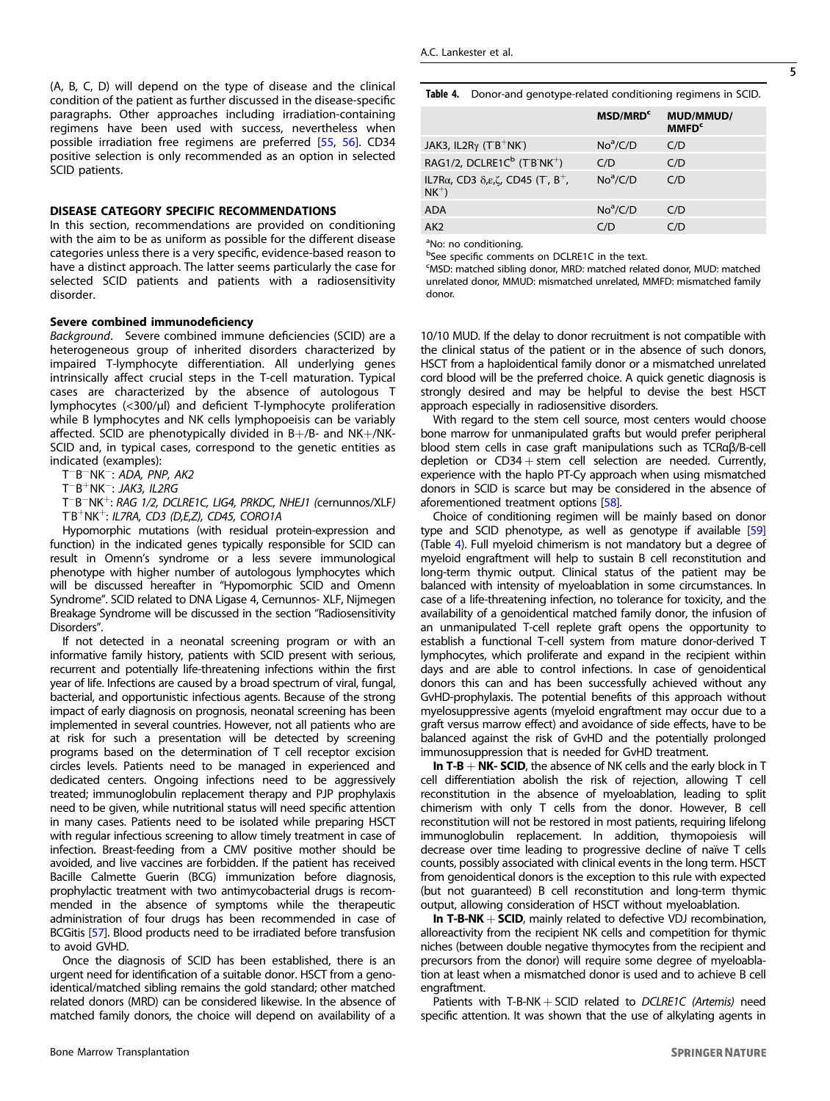(A, B, C, D) will depend on the type of disease and the clinical condition of the patient as further discussed in the disease-specific paragraphs. Other approaches including irradiation-containing regimens have been used with success, nevertheless when possible irradiation free regimens are preferred [\[55](#page-9-0), [56\]](#page-9-0). CD34 positive selection is only recommended as an option in selected SCID patients.

# DISEASE CATEGORY SPECIFIC RECOMMENDATIONS

In this section, recommendations are provided on conditioning with the aim to be as uniform as possible for the different disease categories unless there is a very specific, evidence-based reason to have a distinct approach. The latter seems particularly the case for selected SCID patients and patients with a radiosensitivity disorder.

# Severe combined immunodeficiency

Background. Severe combined immune deficiencies (SCID) are a heterogeneous group of inherited disorders characterized by impaired T-lymphocyte differentiation. All underlying genes intrinsically affect crucial steps in the T-cell maturation. Typical cases are characterized by the absence of autologous T lymphocytes (<300/µl) and deficient T-lymphocyte proliferation while B lymphocytes and NK cells lymphopoeisis can be variably affected. SCID are phenotypically divided in B+/B- and NK+/NK-SCID and, in typical cases, correspond to the genetic entities as indicated (examples):

T−B−NK−: ADA, PNP, AK2

T−B+NK−: JAK3, IL2RG

T−B−NK+: RAG 1/2, DCLRE1C, LIG4, PRKDC, NHEJ1 (cernunnos/XLF) TB<sup>+</sup>NK<sup>+</sup>: IL7RA, CD3 (D,E,Z), CD45, CORO1A

Hypomorphic mutations (with residual protein-expression and function) in the indicated genes typically responsible for SCID can result in Omenn's syndrome or a less severe immunological phenotype with higher number of autologous lymphocytes which will be discussed hereafter in "Hypomorphic SCID and Omenn Syndrome". SCID related to DNA Ligase 4, Cernunnos- XLF, Nijmegen Breakage Syndrome will be discussed in the section "Radiosensitivity Disorders".

If not detected in a neonatal screening program or with an informative family history, patients with SCID present with serious, recurrent and potentially life-threatening infections within the first year of life. Infections are caused by a broad spectrum of viral, fungal, bacterial, and opportunistic infectious agents. Because of the strong impact of early diagnosis on prognosis, neonatal screening has been implemented in several countries. However, not all patients who are at risk for such a presentation will be detected by screening programs based on the determination of T cell receptor excision circles levels. Patients need to be managed in experienced and dedicated centers. Ongoing infections need to be aggressively treated; immunoglobulin replacement therapy and PJP prophylaxis need to be given, while nutritional status will need specific attention in many cases. Patients need to be isolated while preparing HSCT with regular infectious screening to allow timely treatment in case of infection. Breast-feeding from a CMV positive mother should be avoided, and live vaccines are forbidden. If the patient has received Bacille Calmette Guerin (BCG) immunization before diagnosis, prophylactic treatment with two antimycobacterial drugs is recommended in the absence of symptoms while the therapeutic administration of four drugs has been recommended in case of BCGitis [\[57\]](#page-9-0). Blood products need to be irradiated before transfusion to avoid GVHD.

Once the diagnosis of SCID has been established, there is an urgent need for identification of a suitable donor. HSCT from a genoidentical/matched sibling remains the gold standard; other matched related donors (MRD) can be considered likewise. In the absence of matched family donors, the choice will depend on availability of a Table 4. Donor-and genotype-related conditioning regimens in SCID.

|                                                                                            | MSD/MRD <sup>c</sup> | MUD/MMUD/<br><b>MMFD<sup>c</sup></b> |
|--------------------------------------------------------------------------------------------|----------------------|--------------------------------------|
| JAK3, IL2R $\gamma$ (T <sup>-</sup> B <sup>+</sup> NK <sup>-</sup> )                       | $No^a/C/D$           | C/D                                  |
| RAG1/2, DCLRE1C <sup>b</sup> (TB <sup>-</sup> NK <sup>+</sup> )                            | C/D                  | C/D                                  |
| IL7R $\alpha$ , CD3 $\delta$ , $\epsilon$ , $\zeta$ , CD45 (T, B <sup>+</sup> ,<br>$NK^+)$ | $No^a/C/D$           | C/D                                  |
| <b>ADA</b>                                                                                 | $No^a/C/D$           | C/D                                  |
| AK <sub>2</sub>                                                                            | C/D                  | C/D                                  |

<sup>a</sup>No: no conditioning.

bSee specific comments on DCLRE1C in the text.

MSD: matched sibling donor, MRD: matched related donor, MUD: matched unrelated donor, MMUD: mismatched unrelated, MMFD: mismatched family donor.

10/10 MUD. If the delay to donor recruitment is not compatible with the clinical status of the patient or in the absence of such donors, HSCT from a haploidentical family donor or a mismatched unrelated cord blood will be the preferred choice. A quick genetic diagnosis is strongly desired and may be helpful to devise the best HSCT approach especially in radiosensitive disorders.

With regard to the stem cell source, most centers would choose bone marrow for unmanipulated grafts but would prefer peripheral blood stem cells in case graft manipulations such as TCRαβ/B-cell depletion or  $CD34 + stem$  cell selection are needed. Currently, experience with the haplo PT-Cy approach when using mismatched donors in SCID is scarce but may be considered in the absence of aforementioned treatment options [[58](#page-9-0)].

Choice of conditioning regimen will be mainly based on donor type and SCID phenotype, as well as genotype if available [[59](#page-9-0)] (Table 4). Full myeloid chimerism is not mandatory but a degree of myeloid engraftment will help to sustain B cell reconstitution and long-term thymic output. Clinical status of the patient may be balanced with intensity of myeloablation in some circumstances. In case of a life-threatening infection, no tolerance for toxicity, and the availability of a genoidentical matched family donor, the infusion of an unmanipulated T-cell replete graft opens the opportunity to establish a functional T-cell system from mature donor-derived T lymphocytes, which proliferate and expand in the recipient within days and are able to control infections. In case of genoidentical donors this can and has been successfully achieved without any GvHD-prophylaxis. The potential benefits of this approach without myelosuppressive agents (myeloid engraftment may occur due to a graft versus marrow effect) and avoidance of side effects, have to be balanced against the risk of GvHD and the potentially prolonged immunosuppression that is needed for GvHD treatment.

In T-B  $+$  NK- SCID, the absence of NK cells and the early block in T cell differentiation abolish the risk of rejection, allowing T cell reconstitution in the absence of myeloablation, leading to split chimerism with only T cells from the donor. However, B cell reconstitution will not be restored in most patients, requiring lifelong immunoglobulin replacement. In addition, thymopoiesis will decrease over time leading to progressive decline of naïve T cells counts, possibly associated with clinical events in the long term. HSCT from genoidentical donors is the exception to this rule with expected (but not guaranteed) B cell reconstitution and long-term thymic output, allowing consideration of HSCT without myeloablation.

In  $T-B-NK + SCID$ , mainly related to defective VDJ recombination, alloreactivity from the recipient NK cells and competition for thymic niches (between double negative thymocytes from the recipient and precursors from the donor) will require some degree of myeloablation at least when a mismatched donor is used and to achieve B cell engraftment.

Patients with T-B-NK  $+$  SCID related to DCLRE1C (Artemis) need specific attention. It was shown that the use of alkylating agents in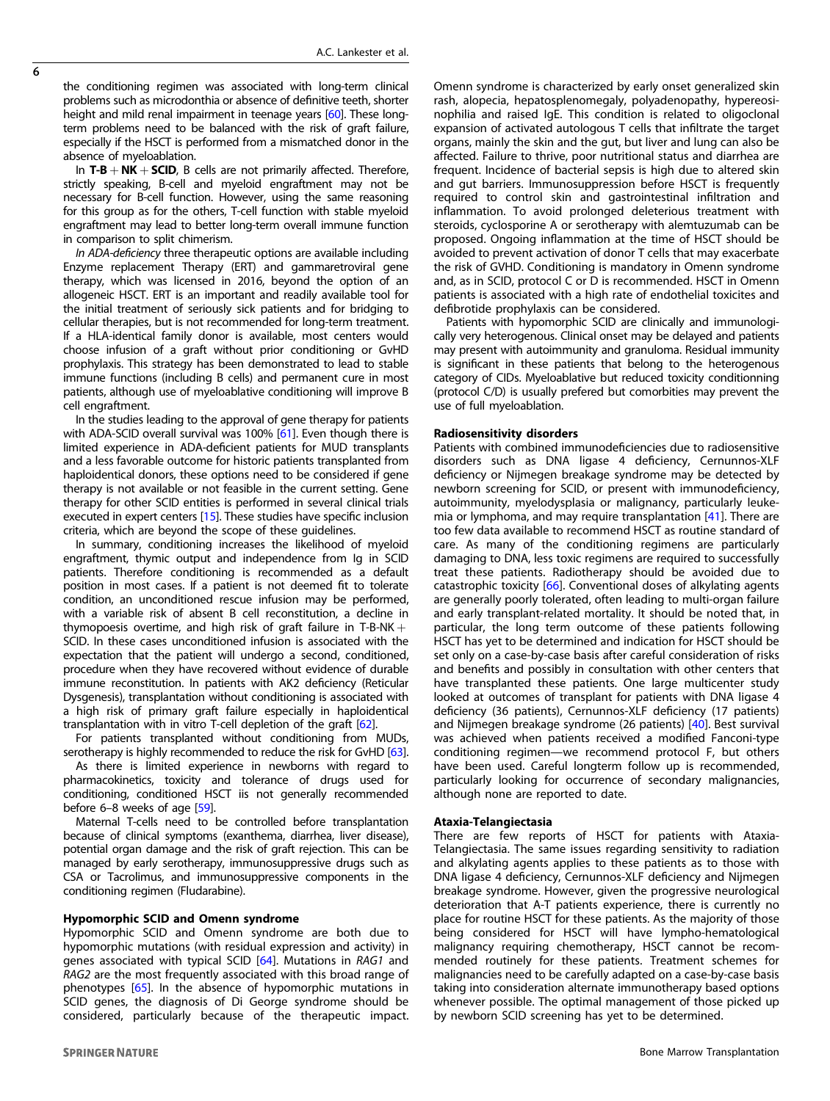the conditioning regimen was associated with long-term clinical problems such as microdonthia or absence of definitive teeth, shorter height and mild renal impairment in teenage years [[60](#page-9-0)]. These longterm problems need to be balanced with the risk of graft failure, especially if the HSCT is performed from a mismatched donor in the absence of myeloablation.

In  $T-B + NK + SCID$ , B cells are not primarily affected. Therefore, strictly speaking, B-cell and myeloid engraftment may not be necessary for B-cell function. However, using the same reasoning for this group as for the others, T-cell function with stable myeloid engraftment may lead to better long-term overall immune function in comparison to split chimerism.

In ADA-deficiency three therapeutic options are available including Enzyme replacement Therapy (ERT) and gammaretroviral gene therapy, which was licensed in 2016, beyond the option of an allogeneic HSCT. ERT is an important and readily available tool for the initial treatment of seriously sick patients and for bridging to cellular therapies, but is not recommended for long-term treatment. If a HLA-identical family donor is available, most centers would choose infusion of a graft without prior conditioning or GvHD prophylaxis. This strategy has been demonstrated to lead to stable immune functions (including B cells) and permanent cure in most patients, although use of myeloablative conditioning will improve B cell engraftment.

In the studies leading to the approval of gene therapy for patients with ADA-SCID overall survival was 100% [\[61\]](#page-9-0). Even though there is limited experience in ADA-deficient patients for MUD transplants and a less favorable outcome for historic patients transplanted from haploidentical donors, these options need to be considered if gene therapy is not available or not feasible in the current setting. Gene therapy for other SCID entities is performed in several clinical trials executed in expert centers [\[15\]](#page-8-0). These studies have specific inclusion criteria, which are beyond the scope of these guidelines.

In summary, conditioning increases the likelihood of myeloid engraftment, thymic output and independence from Ig in SCID patients. Therefore conditioning is recommended as a default position in most cases. If a patient is not deemed fit to tolerate condition, an unconditioned rescue infusion may be performed, with a variable risk of absent B cell reconstitution, a decline in thymopoesis overtime, and high risk of graft failure in T-B-NK  $+$ SCID. In these cases unconditioned infusion is associated with the expectation that the patient will undergo a second, conditioned, procedure when they have recovered without evidence of durable immune reconstitution. In patients with AK2 deficiency (Reticular Dysgenesis), transplantation without conditioning is associated with a high risk of primary graft failure especially in haploidentical transplantation with in vitro T-cell depletion of the graft [\[62\]](#page-9-0).

For patients transplanted without conditioning from MUDs, serotherapy is highly recommended to reduce the risk for GvHD [\[63](#page-9-0)].

As there is limited experience in newborns with regard to pharmacokinetics, toxicity and tolerance of drugs used for conditioning, conditioned HSCT iis not generally recommended before 6–8 weeks of age [\[59\]](#page-9-0).

Maternal T-cells need to be controlled before transplantation because of clinical symptoms (exanthema, diarrhea, liver disease), potential organ damage and the risk of graft rejection. This can be managed by early serotherapy, immunosuppressive drugs such as CSA or Tacrolimus, and immunosuppressive components in the conditioning regimen (Fludarabine).

# Hypomorphic SCID and Omenn syndrome

Hypomorphic SCID and Omenn syndrome are both due to hypomorphic mutations (with residual expression and activity) in genes associated with typical SCID [[64\]](#page-9-0). Mutations in RAG1 and RAG2 are the most frequently associated with this broad range of phenotypes [[65\]](#page-9-0). In the absence of hypomorphic mutations in SCID genes, the diagnosis of Di George syndrome should be considered, particularly because of the therapeutic impact.

rash, alopecia, hepatosplenomegaly, polyadenopathy, hypereosinophilia and raised IgE. This condition is related to oligoclonal expansion of activated autologous T cells that infiltrate the target organs, mainly the skin and the gut, but liver and lung can also be affected. Failure to thrive, poor nutritional status and diarrhea are frequent. Incidence of bacterial sepsis is high due to altered skin and gut barriers. Immunosuppression before HSCT is frequently required to control skin and gastrointestinal infiltration and inflammation. To avoid prolonged deleterious treatment with steroids, cyclosporine A or serotherapy with alemtuzumab can be proposed. Ongoing inflammation at the time of HSCT should be avoided to prevent activation of donor T cells that may exacerbate the risk of GVHD. Conditioning is mandatory in Omenn syndrome and, as in SCID, protocol C or D is recommended. HSCT in Omenn patients is associated with a high rate of endothelial toxicites and defibrotide prophylaxis can be considered. Patients with hypomorphic SCID are clinically and immunologi-

Omenn syndrome is characterized by early onset generalized skin

cally very heterogenous. Clinical onset may be delayed and patients may present with autoimmunity and granuloma. Residual immunity is significant in these patients that belong to the heterogenous category of CIDs. Myeloablative but reduced toxicity conditionning (protocol C/D) is usually prefered but comorbities may prevent the use of full myeloablation.

### Radiosensitivity disorders

Patients with combined immunodeficiencies due to radiosensitive disorders such as DNA ligase 4 deficiency, Cernunnos-XLF deficiency or Nijmegen breakage syndrome may be detected by newborn screening for SCID, or present with immunodeficiency, autoimmunity, myelodysplasia or malignancy, particularly leukemia or lymphoma, and may require transplantation [\[41](#page-8-0)]. There are too few data available to recommend HSCT as routine standard of care. As many of the conditioning regimens are particularly damaging to DNA, less toxic regimens are required to successfully treat these patients. Radiotherapy should be avoided due to catastrophic toxicity [\[66](#page-9-0)]. Conventional doses of alkylating agents are generally poorly tolerated, often leading to multi-organ failure and early transplant-related mortality. It should be noted that, in particular, the long term outcome of these patients following HSCT has yet to be determined and indication for HSCT should be set only on a case-by-case basis after careful consideration of risks and benefits and possibly in consultation with other centers that have transplanted these patients. One large multicenter study looked at outcomes of transplant for patients with DNA ligase 4 deficiency (36 patients), Cernunnos-XLF deficiency (17 patients) and Nijmegen breakage syndrome (26 patients) [[40\]](#page-8-0). Best survival was achieved when patients received a modified Fanconi-type conditioning regimen—we recommend protocol F, but others have been used. Careful longterm follow up is recommended, particularly looking for occurrence of secondary malignancies, although none are reported to date.

# Ataxia-Telangiectasia

There are few reports of HSCT for patients with Ataxia-Telangiectasia. The same issues regarding sensitivity to radiation and alkylating agents applies to these patients as to those with DNA ligase 4 deficiency, Cernunnos-XLF deficiency and Nijmegen breakage syndrome. However, given the progressive neurological deterioration that A-T patients experience, there is currently no place for routine HSCT for these patients. As the majority of those being considered for HSCT will have lympho-hematological malignancy requiring chemotherapy, HSCT cannot be recommended routinely for these patients. Treatment schemes for malignancies need to be carefully adapted on a case-by-case basis taking into consideration alternate immunotherapy based options whenever possible. The optimal management of those picked up by newborn SCID screening has yet to be determined.

 $\overline{6}$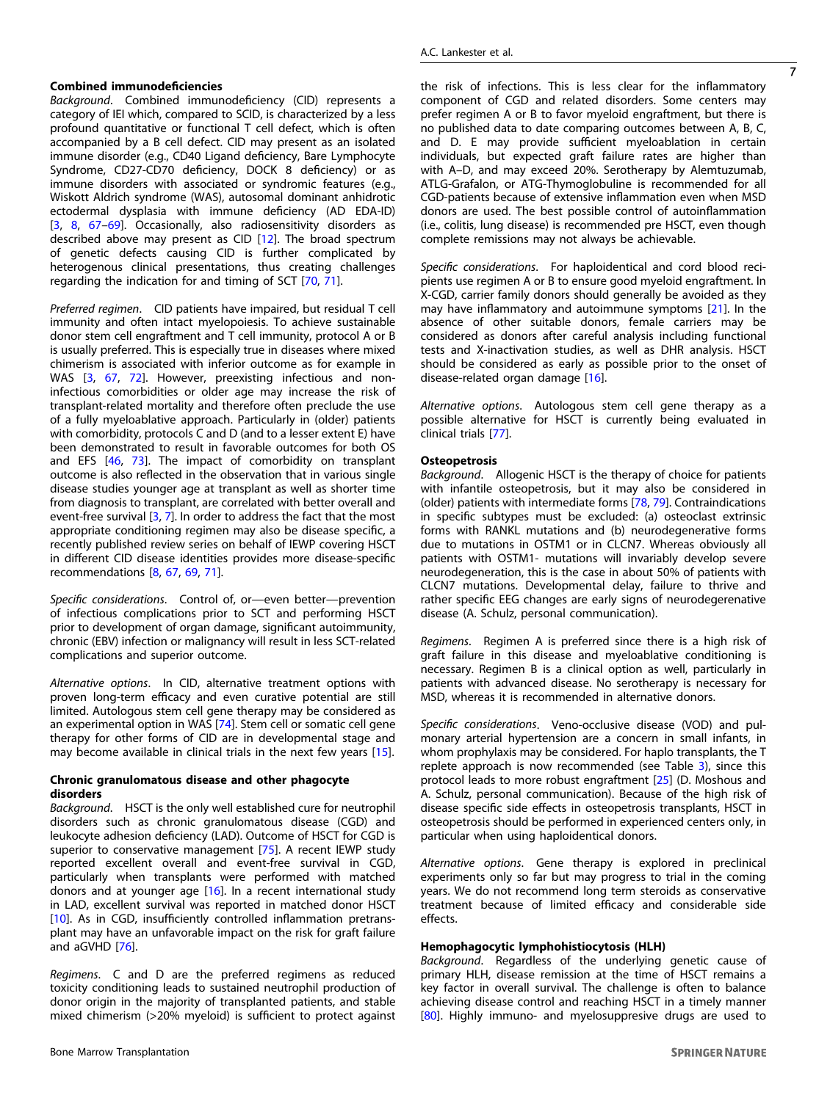# Combined immunodeficiencies

Background. Combined immunodeficiency (CID) represents a category of IEI which, compared to SCID, is characterized by a less profound quantitative or functional T cell defect, which is often accompanied by a B cell defect. CID may present as an isolated immune disorder (e.g., CD40 Ligand deficiency, Bare Lymphocyte Syndrome, CD27-CD70 deficiency, DOCK 8 deficiency) or as immune disorders with associated or syndromic features (e.g., Wiskott Aldrich syndrome (WAS), autosomal dominant anhidrotic ectodermal dysplasia with immune deficiency (AD EDA-ID) [\[3,](#page-7-0) [8,](#page-8-0) [67](#page-9-0)–[69\]](#page-9-0). Occasionally, also radiosensitivity disorders as described above may present as CID [\[12](#page-8-0)]. The broad spectrum of genetic defects causing CID is further complicated by heterogenous clinical presentations, thus creating challenges regarding the indication for and timing of SCT [[70,](#page-9-0) [71\]](#page-9-0).

Preferred regimen. CID patients have impaired, but residual T cell immunity and often intact myelopoiesis. To achieve sustainable donor stem cell engraftment and T cell immunity, protocol A or B is usually preferred. This is especially true in diseases where mixed chimerism is associated with inferior outcome as for example in WAS [\[3,](#page-7-0) [67](#page-9-0), [72\]](#page-9-0). However, preexisting infectious and noninfectious comorbidities or older age may increase the risk of transplant-related mortality and therefore often preclude the use of a fully myeloablative approach. Particularly in (older) patients with comorbidity, protocols C and D (and to a lesser extent E) have been demonstrated to result in favorable outcomes for both OS and EFS [[46,](#page-9-0) [73\]](#page-9-0). The impact of comorbidity on transplant outcome is also reflected in the observation that in various single disease studies younger age at transplant as well as shorter time from diagnosis to transplant, are correlated with better overall and event-free survival [[3](#page-7-0), [7\]](#page-8-0). In order to address the fact that the most appropriate conditioning regimen may also be disease specific, a recently published review series on behalf of IEWP covering HSCT in different CID disease identities provides more disease-specific recommendations [[8](#page-8-0), [67](#page-9-0), [69](#page-9-0), [71\]](#page-9-0).

Specific considerations. Control of, or—even better—prevention of infectious complications prior to SCT and performing HSCT prior to development of organ damage, significant autoimmunity, chronic (EBV) infection or malignancy will result in less SCT-related complications and superior outcome.

Alternative options. In CID, alternative treatment options with proven long-term efficacy and even curative potential are still limited. Autologous stem cell gene therapy may be considered as an experimental option in WAS [[74](#page-9-0)]. Stem cell or somatic cell gene therapy for other forms of CID are in developmental stage and may become available in clinical trials in the next few years [[15\]](#page-8-0).

# Chronic granulomatous disease and other phagocyte disorders

Background. HSCT is the only well established cure for neutrophil disorders such as chronic granulomatous disease (CGD) and leukocyte adhesion deficiency (LAD). Outcome of HSCT for CGD is superior to conservative management [\[75](#page-9-0)]. A recent IEWP study reported excellent overall and event-free survival in CGD, particularly when transplants were performed with matched donors and at younger age [\[16](#page-8-0)]. In a recent international study in LAD, excellent survival was reported in matched donor HSCT [\[10\]](#page-8-0). As in CGD, insufficiently controlled inflammation pretransplant may have an unfavorable impact on the risk for graft failure and aGVHD [\[76\]](#page-9-0).

Regimens. C and D are the preferred regimens as reduced toxicity conditioning leads to sustained neutrophil production of donor origin in the majority of transplanted patients, and stable mixed chimerism (>20% myeloid) is sufficient to protect against the risk of infections. This is less clear for the inflammatory component of CGD and related disorders. Some centers may prefer regimen A or B to favor myeloid engraftment, but there is no published data to date comparing outcomes between A, B, C, and D. E may provide sufficient myeloablation in certain individuals, but expected graft failure rates are higher than with A–D, and may exceed 20%. Serotherapy by Alemtuzumab, ATLG-Grafalon, or ATG-Thymoglobuline is recommended for all CGD-patients because of extensive inflammation even when MSD donors are used. The best possible control of autoinflammation (i.e., colitis, lung disease) is recommended pre HSCT, even though complete remissions may not always be achievable.

Specific considerations. For haploidentical and cord blood recipients use regimen A or B to ensure good myeloid engraftment. In X-CGD, carrier family donors should generally be avoided as they may have inflammatory and autoimmune symptoms [\[21](#page-8-0)]. In the absence of other suitable donors, female carriers may be considered as donors after careful analysis including functional tests and X-inactivation studies, as well as DHR analysis. HSCT should be considered as early as possible prior to the onset of disease-related organ damage [\[16](#page-8-0)].

Alternative options. Autologous stem cell gene therapy as a possible alternative for HSCT is currently being evaluated in clinical trials [[77\]](#page-9-0).

# **Osteopetrosis**

Background. Allogenic HSCT is the therapy of choice for patients with infantile osteopetrosis, but it may also be considered in (older) patients with intermediate forms [[78,](#page-9-0) [79\]](#page-9-0). Contraindications in specific subtypes must be excluded: (a) osteoclast extrinsic forms with RANKL mutations and (b) neurodegenerative forms due to mutations in OSTM1 or in CLCN7. Whereas obviously all patients with OSTM1- mutations will invariably develop severe neurodegeneration, this is the case in about 50% of patients with CLCN7 mutations. Developmental delay, failure to thrive and rather specific EEG changes are early signs of neurodegerenative disease (A. Schulz, personal communication).

Regimens. Regimen A is preferred since there is a high risk of graft failure in this disease and myeloablative conditioning is necessary. Regimen B is a clinical option as well, particularly in patients with advanced disease. No serotherapy is necessary for MSD, whereas it is recommended in alternative donors.

Specific considerations. Veno-occlusive disease (VOD) and pulmonary arterial hypertension are a concern in small infants, in whom prophylaxis may be considered. For haplo transplants, the T replete approach is now recommended (see Table [3\)](#page-3-0), since this protocol leads to more robust engraftment [\[25](#page-8-0)] (D. Moshous and A. Schulz, personal communication). Because of the high risk of disease specific side effects in osteopetrosis transplants, HSCT in osteopetrosis should be performed in experienced centers only, in particular when using haploidentical donors.

Alternative options. Gene therapy is explored in preclinical experiments only so far but may progress to trial in the coming years. We do not recommend long term steroids as conservative treatment because of limited efficacy and considerable side effects.

# Hemophagocytic lymphohistiocytosis (HLH)

Background. Regardless of the underlying genetic cause of primary HLH, disease remission at the time of HSCT remains a key factor in overall survival. The challenge is often to balance achieving disease control and reaching HSCT in a timely manner [\[80\]](#page-9-0). Highly immuno- and myelosuppresive drugs are used to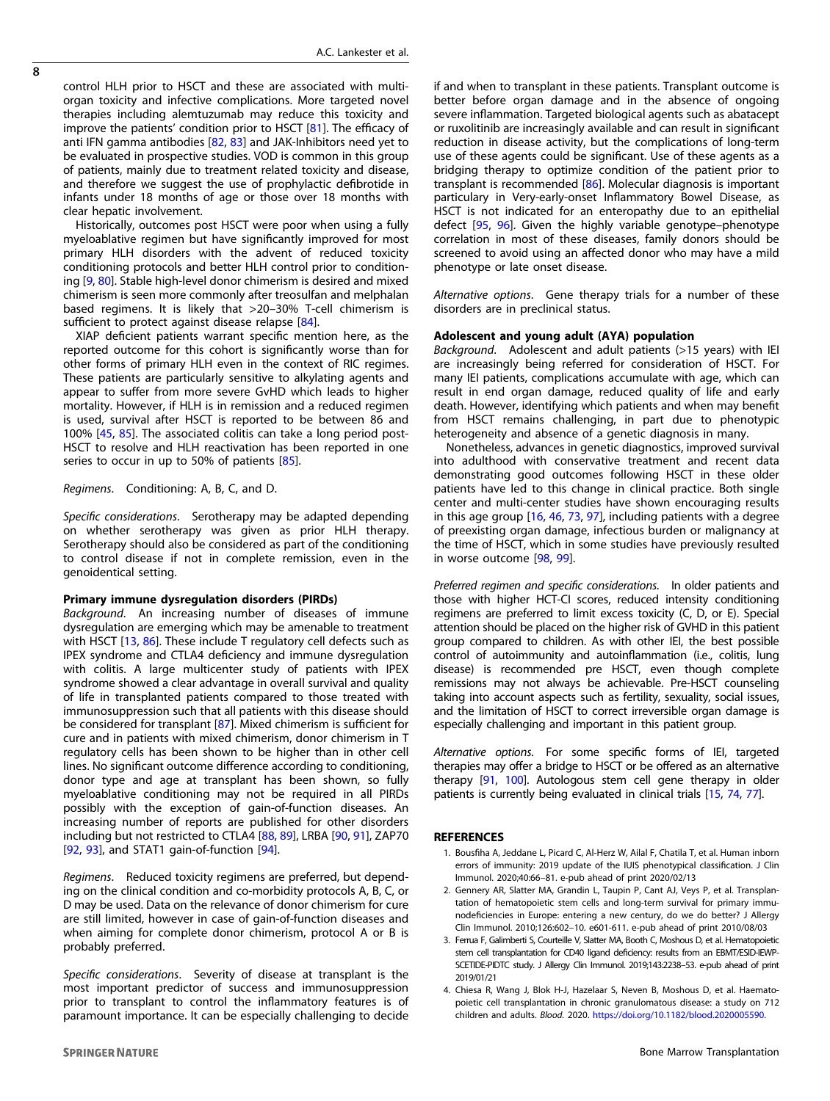<span id="page-7-0"></span>control HLH prior to HSCT and these are associated with multiorgan toxicity and infective complications. More targeted novel therapies including alemtuzumab may reduce this toxicity and improve the patients' condition prior to HSCT [\[81\]](#page-9-0). The efficacy of anti IFN gamma antibodies [[82](#page-9-0), [83](#page-9-0)] and JAK-Inhibitors need yet to be evaluated in prospective studies. VOD is common in this group of patients, mainly due to treatment related toxicity and disease, and therefore we suggest the use of prophylactic defibrotide in infants under 18 months of age or those over 18 months with clear hepatic involvement.

Historically, outcomes post HSCT were poor when using a fully myeloablative regimen but have significantly improved for most primary HLH disorders with the advent of reduced toxicity conditioning protocols and better HLH control prior to conditioning [[9,](#page-8-0) [80\]](#page-9-0). Stable high-level donor chimerism is desired and mixed chimerism is seen more commonly after treosulfan and melphalan based regimens. It is likely that >20–30% T-cell chimerism is sufficient to protect against disease relapse [[84](#page-10-0)].

XIAP deficient patients warrant specific mention here, as the reported outcome for this cohort is significantly worse than for other forms of primary HLH even in the context of RIC regimes. These patients are particularly sensitive to alkylating agents and appear to suffer from more severe GvHD which leads to higher mortality. However, if HLH is in remission and a reduced regimen is used, survival after HSCT is reported to be between 86 and 100% [[45,](#page-9-0) [85\]](#page-10-0). The associated colitis can take a long period post-HSCT to resolve and HLH reactivation has been reported in one series to occur in up to 50% of patients [[85\]](#page-10-0).

# Regimens. Conditioning: A, B, C, and D.

Specific considerations. Serotherapy may be adapted depending on whether serotherapy was given as prior HLH therapy. Serotherapy should also be considered as part of the conditioning to control disease if not in complete remission, even in the genoidentical setting.

#### Primary immune dysregulation disorders (PIRDs)

Background. An increasing number of diseases of immune dysregulation are emerging which may be amenable to treatment with HSCT  $[13, 86]$  $[13, 86]$  $[13, 86]$ . These include T regulatory cell defects such as IPEX syndrome and CTLA4 deficiency and immune dysregulation with colitis. A large multicenter study of patients with IPEX syndrome showed a clear advantage in overall survival and quality of life in transplanted patients compared to those treated with immunosuppression such that all patients with this disease should be considered for transplant [\[87](#page-10-0)]. Mixed chimerism is sufficient for cure and in patients with mixed chimerism, donor chimerism in T regulatory cells has been shown to be higher than in other cell lines. No significant outcome difference according to conditioning, donor type and age at transplant has been shown, so fully myeloablative conditioning may not be required in all PIRDs possibly with the exception of gain-of-function diseases. An increasing number of reports are published for other disorders including but not restricted to CTLA4 [[88](#page-10-0), [89](#page-10-0)], LRBA [\[90,](#page-10-0) [91\]](#page-10-0), ZAP70 [[92,](#page-10-0) [93\]](#page-10-0), and STAT1 gain-of-function [\[94\]](#page-10-0).

Regimens. Reduced toxicity regimens are preferred, but depending on the clinical condition and co-morbidity protocols A, B, C, or D may be used. Data on the relevance of donor chimerism for cure are still limited, however in case of gain-of-function diseases and when aiming for complete donor chimerism, protocol A or B is probably preferred.

Specific considerations. Severity of disease at transplant is the most important predictor of success and immunosuppression prior to transplant to control the inflammatory features is of paramount importance. It can be especially challenging to decide if and when to transplant in these patients. Transplant outcome is better before organ damage and in the absence of ongoing severe inflammation. Targeted biological agents such as abatacept or ruxolitinib are increasingly available and can result in significant reduction in disease activity, but the complications of long-term use of these agents could be significant. Use of these agents as a bridging therapy to optimize condition of the patient prior to transplant is recommended [\[86\]](#page-10-0). Molecular diagnosis is important particulary in Very-early-onset Inflammatory Bowel Disease, as HSCT is not indicated for an enteropathy due to an epithelial defect [[95,](#page-10-0) [96](#page-10-0)]. Given the highly variable genotype–phenotype correlation in most of these diseases, family donors should be screened to avoid using an affected donor who may have a mild phenotype or late onset disease.

Alternative options. Gene therapy trials for a number of these disorders are in preclinical status.

#### Adolescent and young adult (AYA) population

Background. Adolescent and adult patients (>15 years) with IEI are increasingly being referred for consideration of HSCT. For many IEI patients, complications accumulate with age, which can result in end organ damage, reduced quality of life and early death. However, identifying which patients and when may benefit from HSCT remains challenging, in part due to phenotypic heterogeneity and absence of a genetic diagnosis in many.

Nonetheless, advances in genetic diagnostics, improved survival into adulthood with conservative treatment and recent data demonstrating good outcomes following HSCT in these older patients have led to this change in clinical practice. Both single center and multi-center studies have shown encouraging results in this age group [[16,](#page-8-0) [46](#page-9-0), [73,](#page-9-0) [97](#page-10-0)], including patients with a degree of preexisting organ damage, infectious burden or malignancy at the time of HSCT, which in some studies have previously resulted in worse outcome [[98,](#page-10-0) [99\]](#page-10-0).

Preferred regimen and specific considerations. In older patients and those with higher HCT-CI scores, reduced intensity conditioning regimens are preferred to limit excess toxicity (C, D, or E). Special attention should be placed on the higher risk of GVHD in this patient group compared to children. As with other IEI, the best possible control of autoimmunity and autoinflammation (i.e., colitis, lung disease) is recommended pre HSCT, even though complete remissions may not always be achievable. Pre-HSCT counseling taking into account aspects such as fertility, sexuality, social issues, and the limitation of HSCT to correct irreversible organ damage is especially challenging and important in this patient group.

Alternative options. For some specific forms of IEI, targeted therapies may offer a bridge to HSCT or be offered as an alternative therapy [[91,](#page-10-0) [100\]](#page-10-0). Autologous stem cell gene therapy in older patients is currently being evaluated in clinical trials [\[15](#page-8-0), [74,](#page-9-0) [77](#page-9-0)].

#### REFERENCES

- 1. Bousfiha A, Jeddane L, Picard C, Al-Herz W, Ailal F, Chatila T, et al. Human inborn errors of immunity: 2019 update of the IUIS phenotypical classification. J Clin Immunol. 2020;40:66–81. e-pub ahead of print 2020/02/13
- 2. Gennery AR, Slatter MA, Grandin L, Taupin P, Cant AJ, Veys P, et al. Transplantation of hematopoietic stem cells and long-term survival for primary immunodeficiencies in Europe: entering a new century, do we do better? J Allergy Clin Immunol. 2010;126:602–10. e601-611. e-pub ahead of print 2010/08/03
- 3. Ferrua F, Galimberti S, Courteille V, Slatter MA, Booth C, Moshous D, et al. Hematopoietic stem cell transplantation for CD40 ligand deficiency: results from an EBMT/ESID-IEWP-SCETIDE-PIDTC study. J Allergy Clin Immunol. 2019;143:2238–53. e-pub ahead of print 2019/01/21
- 4. Chiesa R, Wang J, Blok H-J, Hazelaar S, Neven B, Moshous D, et al. Haematopoietic cell transplantation in chronic granulomatous disease: a study on 712 children and adults. Blood. 2020. [https://doi.org/10.1182/blood.2020005590.](https://doi.org/10.1182/blood.2020005590)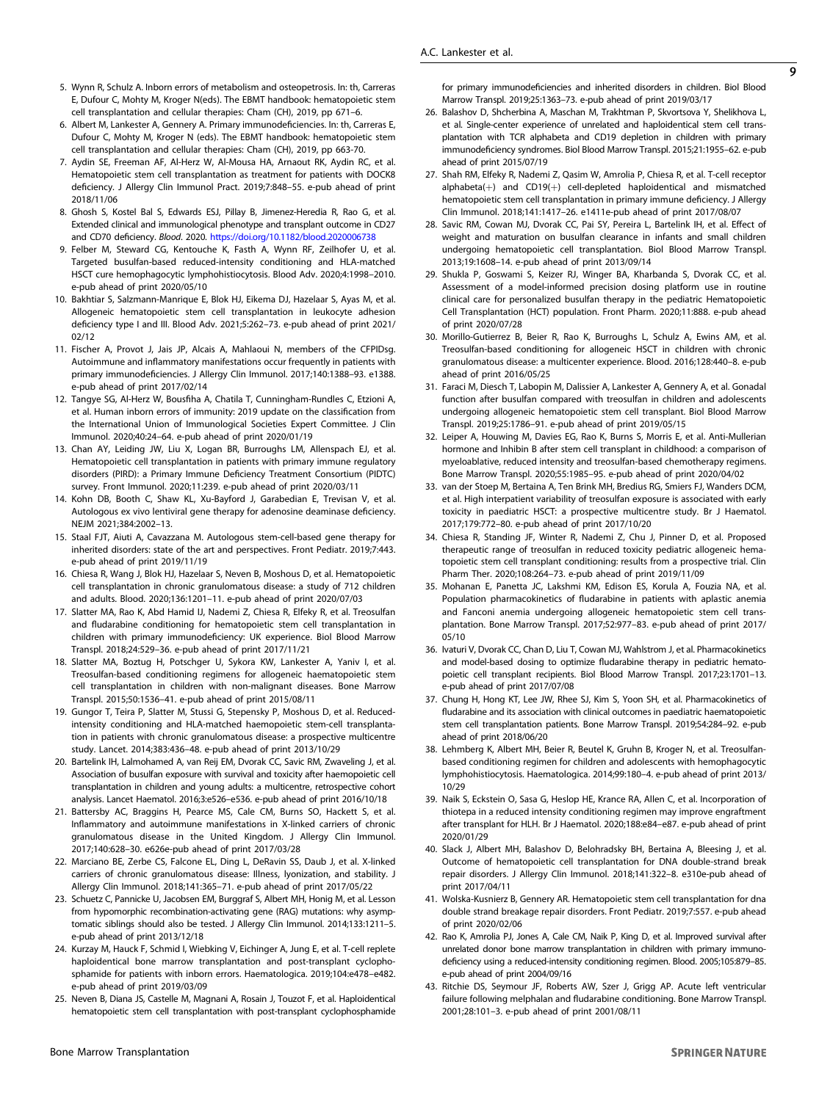- <span id="page-8-0"></span>5. Wynn R, Schulz A. Inborn errors of metabolism and osteopetrosis. In: th, Carreras E, Dufour C, Mohty M, Kroger N(eds). The EBMT handbook: hematopoietic stem cell transplantation and cellular therapies: Cham (CH), 2019, pp 671–6.
- 6. Albert M, Lankester A, Gennery A. Primary immunodeficiencies. In: th, Carreras E, Dufour C, Mohty M, Kroger N (eds). The EBMT handbook: hematopoietic stem cell transplantation and cellular therapies: Cham (CH), 2019, pp 663-70.
- 7. Aydin SE, Freeman AF, Al-Herz W, Al-Mousa HA, Arnaout RK, Aydin RC, et al. Hematopoietic stem cell transplantation as treatment for patients with DOCK8 deficiency. J Allergy Clin Immunol Pract. 2019;7:848–55. e-pub ahead of print 2018/11/06
- 8. Ghosh S, Kostel Bal S, Edwards ESJ, Pillay B, Jimenez-Heredia R, Rao G, et al. Extended clinical and immunological phenotype and transplant outcome in CD27 and CD70 deficiency. Blood. 2020. <https://doi.org/10.1182/blood.2020006738>
- 9. Felber M, Steward CG, Kentouche K, Fasth A, Wynn RF, Zeilhofer U, et al. Targeted busulfan-based reduced-intensity conditioning and HLA-matched HSCT cure hemophagocytic lymphohistiocytosis. Blood Adv. 2020;4:1998–2010. e-pub ahead of print 2020/05/10
- 10. Bakhtiar S, Salzmann-Manrique E, Blok HJ, Eikema DJ, Hazelaar S, Ayas M, et al. Allogeneic hematopoietic stem cell transplantation in leukocyte adhesion deficiency type I and III. Blood Adv. 2021;5:262–73. e-pub ahead of print 2021/ 02/12
- 11. Fischer A, Provot J, Jais JP, Alcais A, Mahlaoui N, members of the CFPIDsg. Autoimmune and inflammatory manifestations occur frequently in patients with primary immunodeficiencies. J Allergy Clin Immunol. 2017;140:1388–93. e1388. e-pub ahead of print 2017/02/14
- 12. Tangye SG, Al-Herz W, Bousfiha A, Chatila T, Cunningham-Rundles C, Etzioni A, et al. Human inborn errors of immunity: 2019 update on the classification from the International Union of Immunological Societies Expert Committee. J Clin Immunol. 2020;40:24–64. e-pub ahead of print 2020/01/19
- 13. Chan AY, Leiding JW, Liu X, Logan BR, Burroughs LM, Allenspach EJ, et al. Hematopoietic cell transplantation in patients with primary immune regulatory disorders (PIRD): a Primary Immune Deficiency Treatment Consortium (PIDTC) survey. Front Immunol. 2020;11:239. e-pub ahead of print 2020/03/11
- 14. Kohn DB, Booth C, Shaw KL, Xu-Bayford J, Garabedian E, Trevisan V, et al. Autologous ex vivo lentiviral gene therapy for adenosine deaminase deficiency. NEJM 2021;384:2002–13.
- 15. Staal FJT, Aiuti A, Cavazzana M. Autologous stem-cell-based gene therapy for inherited disorders: state of the art and perspectives. Front Pediatr. 2019;7:443. e-pub ahead of print 2019/11/19
- 16. Chiesa R, Wang J, Blok HJ, Hazelaar S, Neven B, Moshous D, et al. Hematopoietic cell transplantation in chronic granulomatous disease: a study of 712 children and adults. Blood. 2020;136:1201–11. e-pub ahead of print 2020/07/03
- 17. Slatter MA, Rao K, Abd Hamid IJ, Nademi Z, Chiesa R, Elfeky R, et al. Treosulfan and fludarabine conditioning for hematopoietic stem cell transplantation in children with primary immunodeficiency: UK experience. Biol Blood Marrow Transpl. 2018;24:529–36. e-pub ahead of print 2017/11/21
- 18. Slatter MA, Boztug H, Potschger U, Sykora KW, Lankester A, Yaniv I, et al. Treosulfan-based conditioning regimens for allogeneic haematopoietic stem cell transplantation in children with non-malignant diseases. Bone Marrow Transpl. 2015;50:1536–41. e-pub ahead of print 2015/08/11
- 19. Gungor T, Teira P, Slatter M, Stussi G, Stepensky P, Moshous D, et al. Reducedintensity conditioning and HLA-matched haemopoietic stem-cell transplantation in patients with chronic granulomatous disease: a prospective multicentre study. Lancet. 2014;383:436–48. e-pub ahead of print 2013/10/29
- 20. Bartelink IH, Lalmohamed A, van Reij EM, Dvorak CC, Savic RM, Zwaveling J, et al. Association of busulfan exposure with survival and toxicity after haemopoietic cell transplantation in children and young adults: a multicentre, retrospective cohort analysis. Lancet Haematol. 2016;3:e526–e536. e-pub ahead of print 2016/10/18
- 21. Battersby AC, Braggins H, Pearce MS, Cale CM, Burns SO, Hackett S, et al. Inflammatory and autoimmune manifestations in X-linked carriers of chronic granulomatous disease in the United Kingdom. J Allergy Clin Immunol. 2017;140:628–30. e626e-pub ahead of print 2017/03/28
- 22. Marciano BE, Zerbe CS, Falcone EL, Ding L, DeRavin SS, Daub J, et al. X-linked carriers of chronic granulomatous disease: Illness, lyonization, and stability. J Allergy Clin Immunol. 2018;141:365–71. e-pub ahead of print 2017/05/22
- 23. Schuetz C, Pannicke U, Jacobsen EM, Burggraf S, Albert MH, Honig M, et al. Lesson from hypomorphic recombination-activating gene (RAG) mutations: why asymptomatic siblings should also be tested. J Allergy Clin Immunol. 2014;133:1211–5. e-pub ahead of print 2013/12/18
- 24. Kurzay M, Hauck F, Schmid I, Wiebking V, Eichinger A, Jung E, et al. T-cell replete haploidentical bone marrow transplantation and post-transplant cyclophosphamide for patients with inborn errors. Haematologica. 2019;104:e478–e482. e-pub ahead of print 2019/03/09
- 25. Neven B, Diana JS, Castelle M, Magnani A, Rosain J, Touzot F, et al. Haploidentical hematopoietic stem cell transplantation with post-transplant cyclophosphamide

for primary immunodeficiencies and inherited disorders in children. Biol Blood Marrow Transpl. 2019;25:1363–73. e-pub ahead of print 2019/03/17

- 26. Balashov D, Shcherbina A, Maschan M, Trakhtman P, Skvortsova Y, Shelikhova L, et al. Single-center experience of unrelated and haploidentical stem cell transplantation with TCR alphabeta and CD19 depletion in children with primary immunodeficiency syndromes. Biol Blood Marrow Transpl. 2015;21:1955–62. e-pub ahead of print 2015/07/19
- 27. Shah RM, Elfeky R, Nademi Z, Qasim W, Amrolia P, Chiesa R, et al. T-cell receptor alphabeta(+) and CD19(+) cell-depleted haploidentical and mismatched hematopoietic stem cell transplantation in primary immune deficiency. J Allergy Clin Immunol. 2018;141:1417–26. e1411e-pub ahead of print 2017/08/07
- 28. Savic RM, Cowan MJ, Dvorak CC, Pai SY, Pereira L, Bartelink IH, et al. Effect of weight and maturation on busulfan clearance in infants and small children undergoing hematopoietic cell transplantation. Biol Blood Marrow Transpl. 2013;19:1608–14. e-pub ahead of print 2013/09/14
- 29. Shukla P, Goswami S, Keizer RJ, Winger BA, Kharbanda S, Dvorak CC, et al. Assessment of a model-informed precision dosing platform use in routine clinical care for personalized busulfan therapy in the pediatric Hematopoietic Cell Transplantation (HCT) population. Front Pharm. 2020;11:888. e-pub ahead of print 2020/07/28
- 30. Morillo-Gutierrez B, Beier R, Rao K, Burroughs L, Schulz A, Ewins AM, et al. Treosulfan-based conditioning for allogeneic HSCT in children with chronic granulomatous disease: a multicenter experience. Blood. 2016;128:440–8. e-pub ahead of print 2016/05/25
- 31. Faraci M, Diesch T, Labopin M, Dalissier A, Lankester A, Gennery A, et al. Gonadal function after busulfan compared with treosulfan in children and adolescents undergoing allogeneic hematopoietic stem cell transplant. Biol Blood Marrow Transpl. 2019;25:1786–91. e-pub ahead of print 2019/05/15
- 32. Leiper A, Houwing M, Davies EG, Rao K, Burns S, Morris E, et al. Anti-Mullerian hormone and Inhibin B after stem cell transplant in childhood: a comparison of myeloablative, reduced intensity and treosulfan-based chemotherapy regimens. Bone Marrow Transpl. 2020;55:1985–95. e-pub ahead of print 2020/04/02
- 33. van der Stoep M, Bertaina A, Ten Brink MH, Bredius RG, Smiers FJ, Wanders DCM, et al. High interpatient variability of treosulfan exposure is associated with early toxicity in paediatric HSCT: a prospective multicentre study. Br J Haematol. 2017;179:772–80. e-pub ahead of print 2017/10/20
- 34. Chiesa R, Standing JF, Winter R, Nademi Z, Chu J, Pinner D, et al. Proposed therapeutic range of treosulfan in reduced toxicity pediatric allogeneic hematopoietic stem cell transplant conditioning: results from a prospective trial. Clin Pharm Ther. 2020;108:264–73. e-pub ahead of print 2019/11/09
- 35. Mohanan E, Panetta JC, Lakshmi KM, Edison ES, Korula A, Fouzia NA, et al. Population pharmacokinetics of fludarabine in patients with aplastic anemia and Fanconi anemia undergoing allogeneic hematopoietic stem cell transplantation. Bone Marrow Transpl. 2017;52:977–83. e-pub ahead of print 2017/ 05/10
- 36. Ivaturi V, Dvorak CC, Chan D, Liu T, Cowan MJ, Wahlstrom J, et al. Pharmacokinetics and model-based dosing to optimize fludarabine therapy in pediatric hematopoietic cell transplant recipients. Biol Blood Marrow Transpl. 2017;23:1701–13. e-pub ahead of print 2017/07/08
- 37. Chung H, Hong KT, Lee JW, Rhee SJ, Kim S, Yoon SH, et al. Pharmacokinetics of fludarabine and its association with clinical outcomes in paediatric haematopoietic stem cell transplantation patients. Bone Marrow Transpl. 2019;54:284–92. e-pub ahead of print 2018/06/20
- 38. Lehmberg K, Albert MH, Beier R, Beutel K, Gruhn B, Kroger N, et al. Treosulfanbased conditioning regimen for children and adolescents with hemophagocytic lymphohistiocytosis. Haematologica. 2014;99:180–4. e-pub ahead of print 2013/ 10/29
- 39. Naik S, Eckstein O, Sasa G, Heslop HE, Krance RA, Allen C, et al. Incorporation of thiotepa in a reduced intensity conditioning regimen may improve engraftment after transplant for HLH. Br J Haematol. 2020;188:e84–e87. e-pub ahead of print 2020/01/29
- 40. Slack J, Albert MH, Balashov D, Belohradsky BH, Bertaina A, Bleesing J, et al. Outcome of hematopoietic cell transplantation for DNA double-strand break repair disorders. J Allergy Clin Immunol. 2018;141:322–8. e310e-pub ahead of print 2017/04/11
- 41. Wolska-Kusnierz B, Gennery AR. Hematopoietic stem cell transplantation for dna double strand breakage repair disorders. Front Pediatr. 2019;7:557. e-pub ahead of print 2020/02/06
- 42. Rao K, Amrolia PJ, Jones A, Cale CM, Naik P, King D, et al. Improved survival after unrelated donor bone marrow transplantation in children with primary immunodeficiency using a reduced-intensity conditioning regimen. Blood. 2005;105:879–85. e-pub ahead of print 2004/09/16
- 43. Ritchie DS, Seymour JF, Roberts AW, Szer J, Grigg AP. Acute left ventricular failure following melphalan and fludarabine conditioning. Bone Marrow Transpl. 2001;28:101–3. e-pub ahead of print 2001/08/11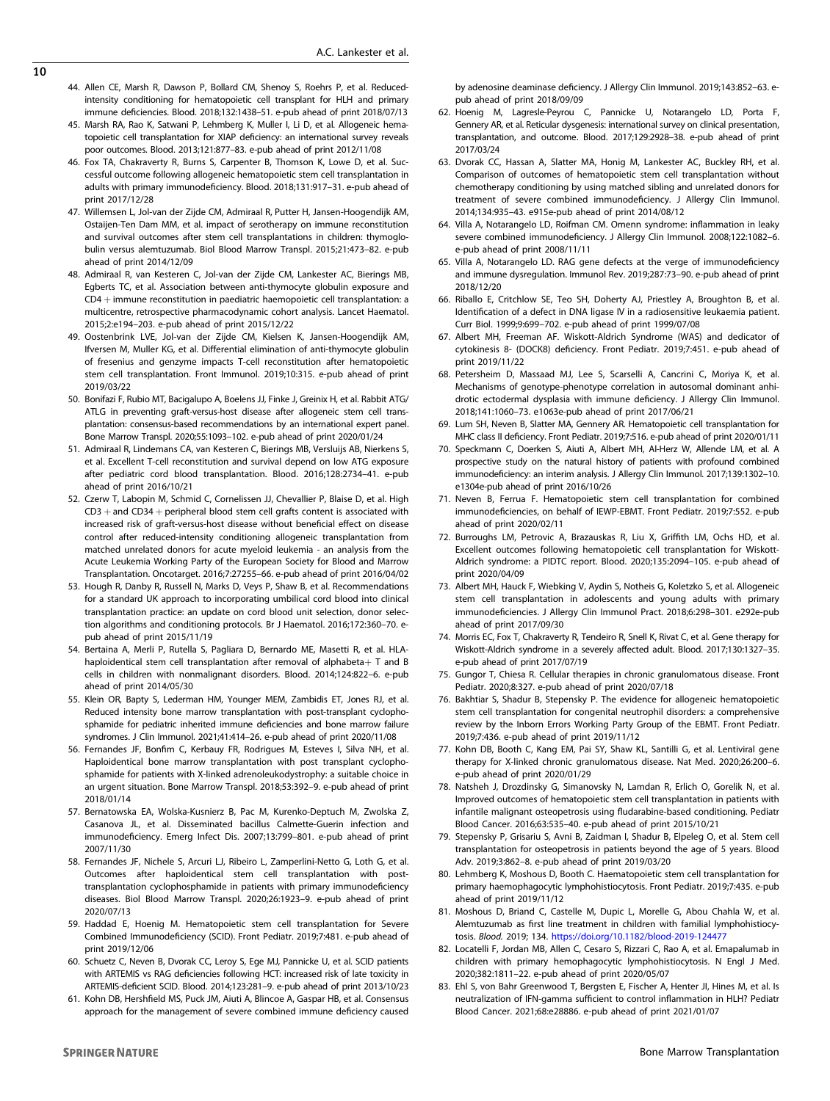- <span id="page-9-0"></span>44. Allen CE, Marsh R, Dawson P, Bollard CM, Shenoy S, Roehrs P, et al. Reducedintensity conditioning for hematopoietic cell transplant for HLH and primary immune deficiencies. Blood. 2018;132:1438–51. e-pub ahead of print 2018/07/13
- 45. Marsh RA, Rao K, Satwani P, Lehmberg K, Muller I, Li D, et al. Allogeneic hematopoietic cell transplantation for XIAP deficiency: an international survey reveals poor outcomes. Blood. 2013;121:877–83. e-pub ahead of print 2012/11/08
- 46. Fox TA, Chakraverty R, Burns S, Carpenter B, Thomson K, Lowe D, et al. Successful outcome following allogeneic hematopoietic stem cell transplantation in adults with primary immunodeficiency. Blood. 2018;131:917–31. e-pub ahead of print 2017/12/28
- 47. Willemsen L, Jol-van der Zijde CM, Admiraal R, Putter H, Jansen-Hoogendijk AM, Ostaijen-Ten Dam MM, et al. impact of serotherapy on immune reconstitution and survival outcomes after stem cell transplantations in children: thymoglobulin versus alemtuzumab. Biol Blood Marrow Transpl. 2015;21:473–82. e-pub ahead of print 2014/12/09
- 48. Admiraal R, van Kesteren C, Jol-van der Zijde CM, Lankester AC, Bierings MB, Egberts TC, et al. Association between anti-thymocyte globulin exposure and CD4 + immune reconstitution in paediatric haemopoietic cell transplantation: a multicentre, retrospective pharmacodynamic cohort analysis. Lancet Haematol. 2015;2:e194–203. e-pub ahead of print 2015/12/22
- 49. Oostenbrink LVE, Jol-van der Zijde CM, Kielsen K, Jansen-Hoogendijk AM, Ifversen M, Muller KG, et al. Differential elimination of anti-thymocyte globulin of fresenius and genzyme impacts T-cell reconstitution after hematopoietic stem cell transplantation. Front Immunol. 2019;10:315. e-pub ahead of print 2019/03/22
- 50. Bonifazi F, Rubio MT, Bacigalupo A, Boelens JJ, Finke J, Greinix H, et al. Rabbit ATG/ ATLG in preventing graft-versus-host disease after allogeneic stem cell transplantation: consensus-based recommendations by an international expert panel. Bone Marrow Transpl. 2020;55:1093–102. e-pub ahead of print 2020/01/24
- 51. Admiraal R, Lindemans CA, van Kesteren C, Bierings MB, Versluijs AB, Nierkens S, et al. Excellent T-cell reconstitution and survival depend on low ATG exposure after pediatric cord blood transplantation. Blood. 2016;128:2734–41. e-pub ahead of print 2016/10/21
- 52. Czerw T, Labopin M, Schmid C, Cornelissen JJ, Chevallier P, Blaise D, et al. High CD3 + and CD34 + peripheral blood stem cell grafts content is associated with increased risk of graft-versus-host disease without beneficial effect on disease control after reduced-intensity conditioning allogeneic transplantation from matched unrelated donors for acute myeloid leukemia - an analysis from the Acute Leukemia Working Party of the European Society for Blood and Marrow Transplantation. Oncotarget. 2016;7:27255–66. e-pub ahead of print 2016/04/02
- 53. Hough R, Danby R, Russell N, Marks D, Veys P, Shaw B, et al. Recommendations for a standard UK approach to incorporating umbilical cord blood into clinical transplantation practice: an update on cord blood unit selection, donor selection algorithms and conditioning protocols. Br J Haematol. 2016;172:360–70. epub ahead of print 2015/11/19
- 54. Bertaina A, Merli P, Rutella S, Pagliara D, Bernardo ME, Masetti R, et al. HLAhaploidentical stem cell transplantation after removal of alphabeta $+$  T and B cells in children with nonmalignant disorders. Blood. 2014;124:822–6. e-pub ahead of print 2014/05/30
- 55. Klein OR, Bapty S, Lederman HM, Younger MEM, Zambidis ET, Jones RJ, et al. Reduced intensity bone marrow transplantation with post-transplant cyclophosphamide for pediatric inherited immune deficiencies and bone marrow failure syndromes. J Clin Immunol. 2021;41:414–26. e-pub ahead of print 2020/11/08
- 56. Fernandes JF, Bonfim C, Kerbauy FR, Rodrigues M, Esteves I, Silva NH, et al. Haploidentical bone marrow transplantation with post transplant cyclophosphamide for patients with X-linked adrenoleukodystrophy: a suitable choice in an urgent situation. Bone Marrow Transpl. 2018;53:392–9. e-pub ahead of print 2018/01/14
- 57. Bernatowska EA, Wolska-Kusnierz B, Pac M, Kurenko-Deptuch M, Zwolska Z, Casanova JL, et al. Disseminated bacillus Calmette-Guerin infection and immunodeficiency. Emerg Infect Dis. 2007;13:799–801. e-pub ahead of print 2007/11/30
- 58. Fernandes JF, Nichele S, Arcuri LJ, Ribeiro L, Zamperlini-Netto G, Loth G, et al. Outcomes after haploidentical stem cell transplantation with posttransplantation cyclophosphamide in patients with primary immunodeficiency diseases. Biol Blood Marrow Transpl. 2020;26:1923–9. e-pub ahead of print 2020/07/13
- 59. Haddad E, Hoenig M. Hematopoietic stem cell transplantation for Severe Combined Immunodeficiency (SCID). Front Pediatr. 2019;7:481. e-pub ahead of print 2019/12/06
- 60. Schuetz C, Neven B, Dvorak CC, Leroy S, Ege MJ, Pannicke U, et al. SCID patients with ARTEMIS vs RAG deficiencies following HCT: increased risk of late toxicity in ARTEMIS-deficient SCID. Blood. 2014;123:281–9. e-pub ahead of print 2013/10/23
- 61. Kohn DB, Hershfield MS, Puck JM, Aiuti A, Blincoe A, Gaspar HB, et al. Consensus approach for the management of severe combined immune deficiency caused

by adenosine deaminase deficiency. J Allergy Clin Immunol. 2019;143:852–63. epub ahead of print 2018/09/09

- 62. Hoenig M, Lagresle-Peyrou C, Pannicke U, Notarangelo LD, Porta F, Gennery AR, et al. Reticular dysgenesis: international survey on clinical presentation, transplantation, and outcome. Blood. 2017;129:2928–38. e-pub ahead of print 2017/03/24
- 63. Dvorak CC, Hassan A, Slatter MA, Honig M, Lankester AC, Buckley RH, et al. Comparison of outcomes of hematopoietic stem cell transplantation without chemotherapy conditioning by using matched sibling and unrelated donors for treatment of severe combined immunodeficiency. J Allergy Clin Immunol. 2014;134:935–43. e915e-pub ahead of print 2014/08/12
- 64. Villa A, Notarangelo LD, Roifman CM. Omenn syndrome: inflammation in leaky severe combined immunodeficiency. J Allergy Clin Immunol. 2008;122:1082–6. e-pub ahead of print 2008/11/11
- 65. Villa A, Notarangelo LD. RAG gene defects at the verge of immunodeficiency and immune dysregulation. Immunol Rev. 2019;287:73–90. e-pub ahead of print 2018/12/20
- 66. Riballo E, Critchlow SE, Teo SH, Doherty AJ, Priestley A, Broughton B, et al. Identification of a defect in DNA ligase IV in a radiosensitive leukaemia patient. Curr Biol. 1999;9:699–702. e-pub ahead of print 1999/07/08
- 67. Albert MH, Freeman AF. Wiskott-Aldrich Syndrome (WAS) and dedicator of cytokinesis 8- (DOCK8) deficiency. Front Pediatr. 2019;7:451. e-pub ahead of print 2019/11/22
- 68. Petersheim D, Massaad MJ, Lee S, Scarselli A, Cancrini C, Moriya K, et al. Mechanisms of genotype-phenotype correlation in autosomal dominant anhidrotic ectodermal dysplasia with immune deficiency. J Allergy Clin Immunol. 2018;141:1060–73. e1063e-pub ahead of print 2017/06/21
- 69. Lum SH, Neven B, Slatter MA, Gennery AR. Hematopoietic cell transplantation for MHC class II deficiency. Front Pediatr. 2019;7:516. e-pub ahead of print 2020/01/11
- 70. Speckmann C, Doerken S, Aiuti A, Albert MH, Al-Herz W, Allende LM, et al. A prospective study on the natural history of patients with profound combined immunodeficiency: an interim analysis. J Allergy Clin Immunol. 2017;139:1302–10. e1304e-pub ahead of print 2016/10/26
- 71. Neven B, Ferrua F. Hematopoietic stem cell transplantation for combined immunodeficiencies, on behalf of IEWP-EBMT. Front Pediatr. 2019;7:552. e-pub ahead of print 2020/02/11
- 72. Burroughs LM, Petrovic A, Brazauskas R, Liu X, Griffith LM, Ochs HD, et al. Excellent outcomes following hematopoietic cell transplantation for Wiskott-Aldrich syndrome: a PIDTC report. Blood. 2020;135:2094–105. e-pub ahead of print 2020/04/09
- 73. Albert MH, Hauck F, Wiebking V, Aydin S, Notheis G, Koletzko S, et al. Allogeneic stem cell transplantation in adolescents and young adults with primary immunodeficiencies. J Allergy Clin Immunol Pract. 2018;6:298–301. e292e-pub ahead of print 2017/09/30
- 74. Morris EC, Fox T, Chakraverty R, Tendeiro R, Snell K, Rivat C, et al. Gene therapy for Wiskott-Aldrich syndrome in a severely affected adult. Blood. 2017;130:1327–35. e-pub ahead of print 2017/07/19
- 75. Gungor T, Chiesa R. Cellular therapies in chronic granulomatous disease. Front Pediatr. 2020;8:327. e-pub ahead of print 2020/07/18
- 76. Bakhtiar S, Shadur B, Stepensky P. The evidence for allogeneic hematopoietic stem cell transplantation for congenital neutrophil disorders: a comprehensive review by the Inborn Errors Working Party Group of the EBMT. Front Pediatr. 2019;7:436. e-pub ahead of print 2019/11/12
- 77. Kohn DB, Booth C, Kang EM, Pai SY, Shaw KL, Santilli G, et al. Lentiviral gene therapy for X-linked chronic granulomatous disease. Nat Med. 2020;26:200–6. e-pub ahead of print 2020/01/29
- 78. Natsheh J, Drozdinsky G, Simanovsky N, Lamdan R, Erlich O, Gorelik N, et al. Improved outcomes of hematopoietic stem cell transplantation in patients with infantile malignant osteopetrosis using fludarabine-based conditioning. Pediatr Blood Cancer. 2016;63:535–40. e-pub ahead of print 2015/10/21
- 79. Stepensky P, Grisariu S, Avni B, Zaidman I, Shadur B, Elpeleg O, et al. Stem cell transplantation for osteopetrosis in patients beyond the age of 5 years. Blood Adv. 2019;3:862–8. e-pub ahead of print 2019/03/20
- 80. Lehmberg K, Moshous D, Booth C. Haematopoietic stem cell transplantation for primary haemophagocytic lymphohistiocytosis. Front Pediatr. 2019;7:435. e-pub ahead of print 2019/11/12
- 81. Moshous D, Briand C, Castelle M, Dupic L, Morelle G, Abou Chahla W, et al. Alemtuzumab as first line treatment in children with familial lymphohistiocytosis. Blood. 2019; 134. <https://doi.org/10.1182/blood-2019-124477>
- 82. Locatelli F, Jordan MB, Allen C, Cesaro S, Rizzari C, Rao A, et al. Emapalumab in children with primary hemophagocytic lymphohistiocytosis. N Engl J Med. 2020;382:1811–22. e-pub ahead of print 2020/05/07
- 83. Ehl S, von Bahr Greenwood T, Bergsten E, Fischer A, Henter JI, Hines M, et al. Is neutralization of IFN-gamma sufficient to control inflammation in HLH? Pediatr Blood Cancer. 2021;68:e28886. e-pub ahead of print 2021/01/07